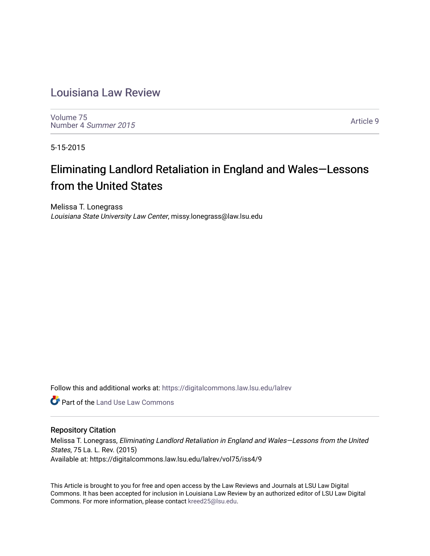# [Louisiana Law Review](https://digitalcommons.law.lsu.edu/lalrev)

[Volume 75](https://digitalcommons.law.lsu.edu/lalrev/vol75) [Number 4](https://digitalcommons.law.lsu.edu/lalrev/vol75/iss4) Summer 2015

[Article 9](https://digitalcommons.law.lsu.edu/lalrev/vol75/iss4/9) 

5-15-2015

# Eliminating Landlord Retaliation in England and Wales—Lessons from the United States

Melissa T. Lonegrass Louisiana State University Law Center, missy.lonegrass@law.lsu.edu

Follow this and additional works at: [https://digitalcommons.law.lsu.edu/lalrev](https://digitalcommons.law.lsu.edu/lalrev?utm_source=digitalcommons.law.lsu.edu%2Flalrev%2Fvol75%2Fiss4%2F9&utm_medium=PDF&utm_campaign=PDFCoverPages)

**C** Part of the Land Use Law Commons

# Repository Citation

Melissa T. Lonegrass, Eliminating Landlord Retaliation in England and Wales—Lessons from the United States, 75 La. L. Rev. (2015) Available at: https://digitalcommons.law.lsu.edu/lalrev/vol75/iss4/9

This Article is brought to you for free and open access by the Law Reviews and Journals at LSU Law Digital Commons. It has been accepted for inclusion in Louisiana Law Review by an authorized editor of LSU Law Digital Commons. For more information, please contact [kreed25@lsu.edu](mailto:kreed25@lsu.edu).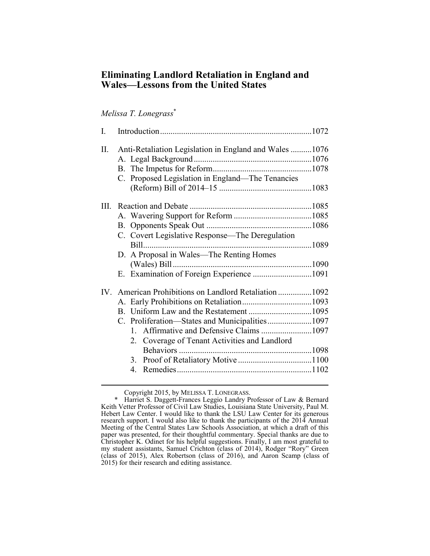# **Eliminating Landlord Retaliation in England and Wales—Lessons from the United States**

# *Melissa T. Lonegrass*\*

| L    |                                                        |  |
|------|--------------------------------------------------------|--|
| II.  | Anti-Retaliation Legislation in England and Wales 1076 |  |
|      |                                                        |  |
|      |                                                        |  |
|      | C. Proposed Legislation in England-The Tenancies       |  |
|      |                                                        |  |
| III. |                                                        |  |
|      |                                                        |  |
|      |                                                        |  |
|      | C. Covert Legislative Response—The Deregulation        |  |
|      |                                                        |  |
|      | D. A Proposal in Wales—The Renting Homes               |  |
|      |                                                        |  |
|      |                                                        |  |
|      | IV. American Prohibitions on Landlord Retaliation 1092 |  |
|      |                                                        |  |
|      |                                                        |  |
|      |                                                        |  |
|      | Affirmative and Defensive Claims 1097<br>$1 \quad$     |  |
|      | 2. Coverage of Tenant Activities and Landlord          |  |
|      |                                                        |  |
|      |                                                        |  |
|      | $\overline{4}$                                         |  |
|      |                                                        |  |

Copyright 2015, by MELISSA T. LONEGRASS.

 Keith Vetter Professor of Civil Law Studies, Louisiana State University, Paul M. research support. I would also like to thank the participants of the 2014 Annual Meeting of the Central States Law Schools Association, at which a draft of this \* Harriet S. Daggett-Frances Leggio Landry Professor of Law & Bernard Hebert Law Center. I would like to thank the LSU Law Center for its generous paper was presented, for their thoughtful commentary. Special thanks are due to Christopher K. Odinet for his helpful suggestions. Finally, I am most grateful to my student assistants, Samuel Crichton (class of 2014), Rodger "Rory" Green (class of 2015), Alex Robertson (class of 2016), and Aaron Scamp (class of 2015) for their research and editing assistance.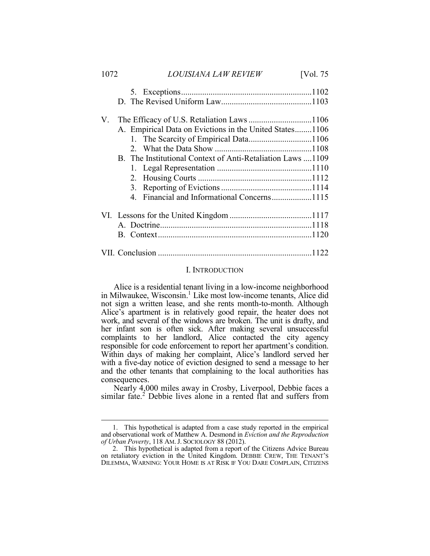| 1072 | LOUISIANA LAW REVIEW                                       | [Vol. 75] |
|------|------------------------------------------------------------|-----------|
|      |                                                            |           |
|      |                                                            |           |
| V.   |                                                            |           |
|      | A. Empirical Data on Evictions in the United States1106    |           |
|      |                                                            |           |
|      |                                                            |           |
|      | B. The Institutional Context of Anti-Retaliation Laws 1109 |           |
|      |                                                            |           |
|      |                                                            |           |
|      |                                                            |           |
|      |                                                            |           |
|      |                                                            |           |
|      |                                                            |           |
|      |                                                            |           |
|      |                                                            |           |

#### I. INTRODUCTION

 not sign a written lease, and she rents month-to-month. Although Alice is a residential tenant living in a low-income neighborhood in Milwaukee, Wisconsin.<sup>1</sup> Like most low-income tenants, Alice did Alice's apartment is in relatively good repair, the heater does not work, and several of the windows are broken. The unit is drafty, and her infant son is often sick. After making several unsuccessful complaints to her landlord, Alice contacted the city agency responsible for code enforcement to report her apartment's condition. Within days of making her complaint, Alice's landlord served her with a five-day notice of eviction designed to send a message to her and the other tenants that complaining to the local authorities has consequences.

Nearly 4,000 miles away in Crosby, Liverpool, Debbie faces a similar fate. $^2$  Debbie lives alone in a rented flat and suffers from

 and observational work of Matthew A. Desmond in *Eviction and the Reproduction of Urban Poverty*, 118 AM.J. SOCIOLOGY 88 (2012). 1. This hypothetical is adapted from a case study reported in the empirical

 on retaliatory eviction in the United Kingdom. DEBBIE CREW, THE TENANT'S DILEMMA, WARNING: YOUR HOME IS AT RISK IF YOU DARE COMPLAIN, CITIZENS2. This hypothetical is adapted from a report of the Citizens Advice Bureau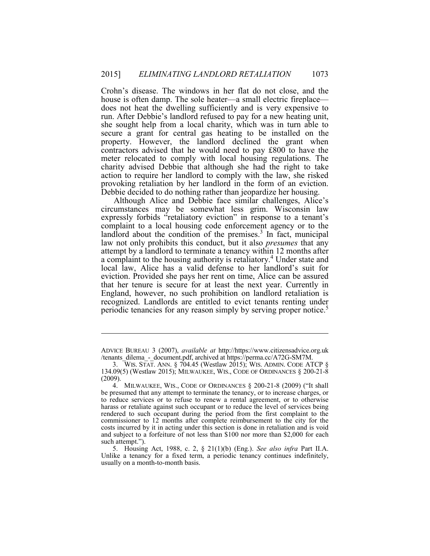house is often damp. The sole heater—a small electric fireplace—<br>does not heat the dwelling sufficiently and is very expensive to run. After Debbie's landlord refused to pay for a new heating unit, she sought help from a local charity, which was in turn able to secure a grant for central gas heating to be installed on the contractors advised that he would need to pay £800 to have the action to require her landlord to comply with the law, she risked provoking retaliation by her landlord in the form of an eviction. Crohn's disease. The windows in her flat do not close, and the property. However, the landlord declined the grant when meter relocated to comply with local housing regulations. The charity advised Debbie that although she had the right to take

 circumstances may be somewhat less grim. Wisconsin law complaint to a local housing code enforcement agency or to the landlord about the condition of the premises.<sup>3</sup> In fact, municipal a complaint to the housing authority is retaliatory.<sup>4</sup> Under state and that her tenure is secure for at least the next year. Currently in periodic tenancies for any reason simply by serving proper notice.<sup>5</sup> Debbie decided to do nothing rather than jeopardize her housing. Although Alice and Debbie face similar challenges, Alice's expressly forbids "retaliatory eviction" in response to a tenant's law not only prohibits this conduct, but it also *presumes* that any attempt by a landlord to terminate a tenancy within 12 months after local law, Alice has a valid defense to her landlord's suit for eviction. Provided she pays her rent on time, Alice can be assured England, however, no such prohibition on landlord retaliation is recognized. Landlords are entitled to evict tenants renting under

ADVICE BUREAU 3 (2007), *available at* http://https://www.citizensadvice.org.uk /tenants\_dilema\_-\_document.pdf, archived at https://perma.cc/A72G-SM7M.

 3. WIS. STAT. ANN. § 704.45 (Westlaw 2015); WIS. ADMIN. CODE ATCP § 134.09(5) (Westlaw 2015); MILWAUKEE, WIS., CODE OF ORDINANCES § 200-21-8 (2009).

 4. MILWAUKEE, WIS., CODE OF ORDINANCES § 200-21-8 (2009) ("It shall to reduce services or to refuse to renew a rental agreement, or to otherwise harass or retaliate against such occupant or to reduce the level of services being commissioner to 12 months after complete reimbursement to the city for the costs incurred by it in acting under this section is done in retaliation and is void and subject to a forfeiture of not less than \$100 nor more than \$2,000 for each be presumed that any attempt to terminate the tenancy, or to increase charges, or rendered to such occupant during the period from the first complaint to the such attempt.").

 5. Housing Act, 1988, c. 2, § 21(1)(b) (Eng.). *See also infra* Part II.A. usually on a month-to-month basis.Unlike a tenancy for a fixed term, a periodic tenancy continues indefinitely,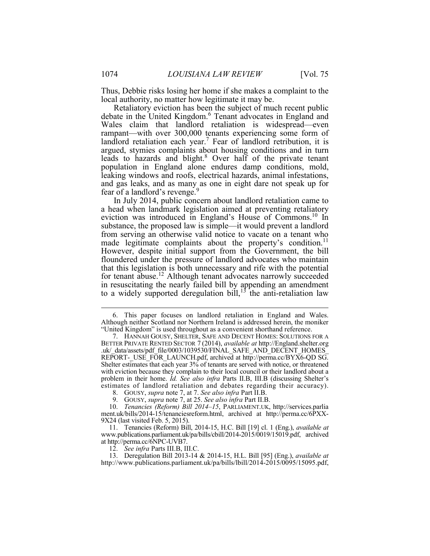Thus, Debbie risks losing her home if she makes a complaint to the local authority, no matter how legitimate it may be.

 Retaliatory eviction has been the subject of much recent public debate in the United Kingdom.<sup>6</sup> Tenant advocates in England and rampant—with over 300,000 tenants experiencing some form of leads to hazards and blight.<sup>8</sup> Over half of the private tenant and gas leaks, and as many as one in eight dare not speak up for Wales claim that landlord retaliation is widespread—even landlord retaliation each year.<sup>7</sup> Fear of landlord retribution, it is argued, stymies complaints about housing conditions and in turn population in England alone endures damp conditions, mold, leaking windows and roofs, electrical hazards, animal infestations, fear of a landlord's revenge.<sup>9</sup>

 a head when landmark legislation aimed at preventing retaliatory substance, the proposed law is simple—it would prevent a landlord from serving an otherwise valid notice to vacate on a tenant who floundered under the pressure of landlord advocates who maintain that this legislation is both unnecessary and rife with the potential for tenant abuse.<sup>12</sup> Although tenant advocates narrowly succeeded In July 2014, public concern about landlord retaliation came to eviction was introduced in England's House of Commons.10 In made legitimate complaints about the property's condition.<sup>11</sup> However, despite initial support from the Government, the bill in resuscitating the nearly failed bill by appending an amendment to a widely supported deregulation bill,<sup>13</sup> the anti-retaliation law

 Although neither Scotland nor Northern Ireland is addressed herein, the moniker 6. This paper focuses on landlord retaliation in England and Wales. "United Kingdom" is used throughout as a convenient shorthand reference.

 7. HANNAH GOUSY, SHELTER, SAFE AND DECENT HOMES: SOLUTIONS FOR A REPORT-\_USE\_FOR\_LAUNCH.pdf, archived at http://perma.cc/BYX6-QD SG. Shelter estimates that each year 3% of tenants are served with notice, or threatened with eviction because they complain to their local council or their landlord about a estimates of landlord retaliation and debates regarding their accuracy). BETTER PRIVATE RENTED SECTOR 7 (2014), *available at* http://England.shelter.org .uk/ data/assets/pdf\_file/0003/1039530/FINAL\_SAFE\_AND\_DECENT\_HOMES problem in their home. *Id. See also infra* Parts II.B, III.B (discussing Shelter's

 <sup>8.</sup> GOUSY, *supra* note 7, at 7. *See also infra* Part II.B.

 <sup>9.</sup> GOUSY, *supra* note 7, at 25. *See also infra* Part II.B.

<sup>10.</sup> *Tenancies (Reform) Bill 2014–15*, PARLIAMENT.UK, http://services.parlia ment.uk/bills/2014-15/tenanciesreform.html, archived at http://perma.cc/6PXX- 9X24 (last visited Feb. 5, 2015).

<sup>11.</sup> Tenancies (Reform) Bill, 2014-15, H.C. Bill [19] cl. 1 (Eng.), *available at*  www.publications.parliament.uk/pa/bills/cbill/2014-2015/0019/15019.pdf, archived at http://perma.cc/6NPC-UVB7.

<sup>12.</sup> *See infra* Parts III.B, III.C.

<sup>13.</sup> Deregulation Bill 2013-14 & 2014-15, H.L. Bill [95] (Eng.), *available at*  http://www.publications.parliament.uk/pa/bills/lbill/2014-2015/0095/15095.pdf,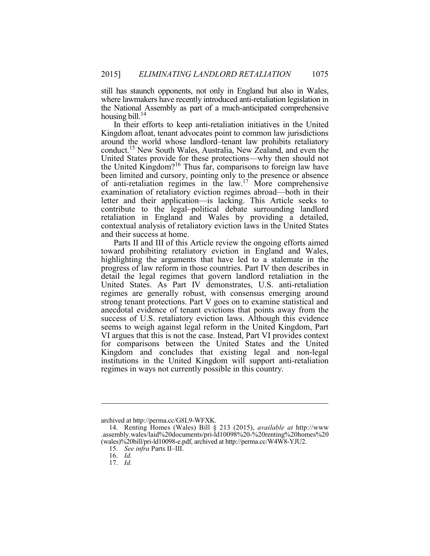still has staunch opponents, not only in England but also in Wales, where lawmakers have recently introduced anti-retaliation legislation in the National Assembly as part of a much-anticipated comprehensive housing bill.<sup>14</sup>

 In their efforts to keep anti-retaliation initiatives in the United conduct.15 New South Wales, Australia, New Zealand, and even the been limited and cursory, pointing only to the presence or absence contribute to the legal–political debate surrounding landlord retaliation in England and Wales by providing a detailed, contextual analysis of retaliatory eviction laws in the United States Kingdom afloat, tenant advocates point to common law jurisdictions around the world whose landlord–tenant law prohibits retaliatory United States provide for these protections—why then should not the United Kingdom?<sup>16</sup> Thus far, comparisons to foreign law have of anti-retaliation regimes in the law.17 More comprehensive examination of retaliatory eviction regimes abroad—both in their letter and their application—is lacking. This Article seeks to and their success at home.

 Parts II and III of this Article review the ongoing efforts aimed highlighting the arguments that have led to a stalemate in the regimes are generally robust, with consensus emerging around strong tenant protections. Part V goes on to examine statistical and toward prohibiting retaliatory eviction in England and Wales, progress of law reform in those countries. Part IV then describes in detail the legal regimes that govern landlord retaliation in the United States. As Part IV demonstrates, U.S. anti-retaliation anecdotal evidence of tenant evictions that points away from the success of U.S. retaliatory eviction laws. Although this evidence seems to weigh against legal reform in the United Kingdom, Part VI argues that this is not the case. Instead, Part VI provides context for comparisons between the United States and the United Kingdom and concludes that existing legal and non-legal institutions in the United Kingdom will support anti-retaliation regimes in ways not currently possible in this country.

 $\overline{a}$ 

16. *Id.* 17. *Id.* 

archived at http://perma.cc/G8L9-WFXK.

<sup>14.</sup> Renting Homes (Wales) Bill § 213 (2015), *available at* http://www .assembly.wales/laid%20documents/pri-ld10098%20-%20renting%20homes%20 (wales)%20bill/pri-ld10098-e.pdf, archived at http://perma.cc/W4W8-YJU2.

<sup>15.</sup> *See infra* Parts II–III.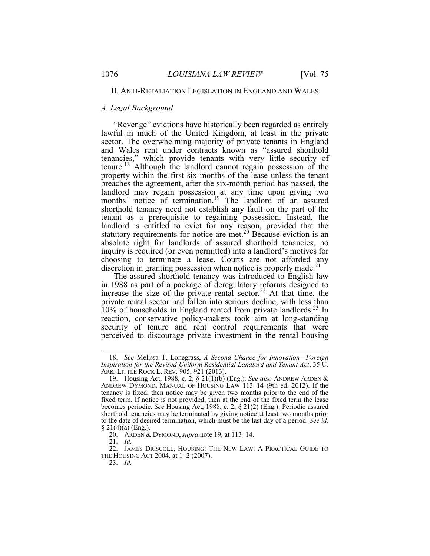## II. ANTI-RETALIATION LEGISLATION IN ENGLAND AND WALES

# *A. Legal Background*

 lawful in much of the United Kingdom, at least in the private tenancies," which provide tenants with very little security of property within the first six months of the lease unless the tenant landlord may regain possession at any time upon giving two shorthold tenancy need not establish any fault on the part of the landlord is entitled to evict for any reason, provided that the choosing to terminate a lease. Courts are not afforded any "Revenge" evictions have historically been regarded as entirely sector. The overwhelming majority of private tenants in England and Wales rent under contracts known as "assured shorthold tenure.<sup>18</sup> Although the landlord cannot regain possession of the breaches the agreement, after the six-month period has passed, the months' notice of termination.<sup>19</sup> The landlord of an assured tenant as a prerequisite to regaining possession. Instead, the statutory requirements for notice are met.<sup>20</sup> Because eviction is an absolute right for landlords of assured shorthold tenancies, no inquiry is required (or even permitted) into a landlord's motives for discretion in granting possession when notice is properly made.<sup>21</sup>

 private rental sector had fallen into serious decline, with less than perceived to discourage private investment in the rental housing The assured shorthold tenancy was introduced to English law in 1988 as part of a package of deregulatory reforms designed to increase the size of the private rental sector.<sup>22</sup> At that time, the 10% of households in England rented from private landlords.<sup>23</sup> In reaction, conservative policy-makers took aim at long-standing security of tenure and rent control requirements that were

<sup>18.</sup> *See* Melissa T. Lonegrass, *A Second Chance for Innovation—Foreign Inspiration for the Revised Uniform Residential Landlord and Tenant Act*, 35 U. ARK. LITTLE ROCK L. REV. 905, 921 (2013).

 19. Housing Act, 1988, c. 2, § 21(1)(b) (Eng.). *See also* ANDREW ARDEN & ANDREW DYMOND, MANUAL OF HOUSING LAW 113–14 (9th ed. 2012). If the tenancy is fixed, then notice may be given two months prior to the end of the fixed term. If notice is not provided, then at the end of the fixed term the lease becomes periodic. *See* Housing Act, 1988, c. 2, § 21(2) (Eng.). Periodic assured to the date of desired termination, which must be the last day of a period. *See id.*  shorthold tenancies may be terminated by giving notice at least two months prior § 21(4)(a) (Eng.).

 20. ARDEN & DYMOND, *supra* note 19, at 113–14.

 21. *Id.* 

 22. JAMES DRISCOLL, HOUSING: THE NEW LAW: A PRACTICAL GUIDE TO THE HOUSING ACT 2004, at 1–2 (2007).

<sup>23.</sup> *Id.*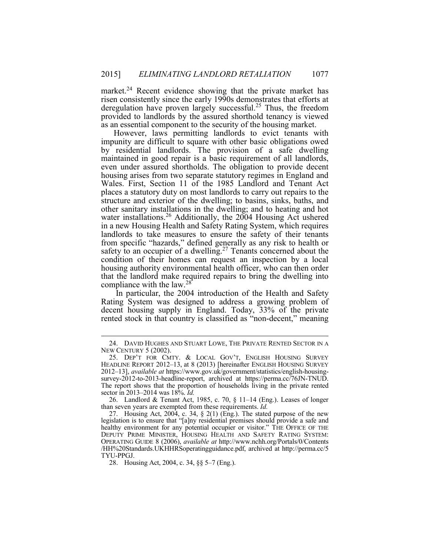market.<sup>24</sup> Recent evidence showing that the private market has risen consistently since the early 1990s demonstrates that efforts at deregulation have proven largely successful.<sup>25</sup> Thus, the freedom provided to landlords by the assured shorthold tenancy is viewed

 maintained in good repair is a basic requirement of all landlords, housing arises from two separate statutory regimes in England and places a statutory duty on most landlords to carry out repairs to the structure and exterior of the dwelling; to basins, sinks, baths, and other sanitary installations in the dwelling; and to heating and hot in a new Housing Health and Safety Rating System, which requires from specific "hazards," defined generally as any risk to health or safety to an occupier of a dwelling.<sup>27</sup> Tenants concerned about the condition of their homes can request an inspection by a local housing authority environmental health officer, who can then order that the landlord make required repairs to bring the dwelling into Ī However, laws permitting landlords to evict tenants with impunity are difficult to square with other basic obligations owed by residential landlords. The provision of a safe dwelling even under assured shortholds. The obligation to provide decent Wales. First, Section 11 of the 1985 Landlord and Tenant Act water installations.<sup>26</sup> Additionally, the 2004 Housing Act ushered landlords to take measures to ensure the safety of their tenants compliance with the law.<sup>28</sup>

 In particular, the 2004 introduction of the Health and Safety Rating System was designed to address a growing problem of decent housing supply in England. Today, 33% of the private rented stock in that country is classified as "non-decent," meaning

<sup>24.</sup> DAVID HUGHES AND STUART LOWE, THE PRIVATE RENTED SECTOR IN A NEW CENTURY 5 (2002).

 25. DEP'T FOR CMTY. & LOCAL GOV'T, ENGLISH HOUSING SURVEY HEADLINE REPORT 2012–13, at 8 (2013) [hereinafter ENGLISH HOUSING SURVEY survey-2012-to-2013-headline-report, archived at https://perma.cc/76JN-TNUD. The report shows that the proportion of households living in the private rented 2012–13], *available at* https://www.gov.uk/government/statistics/english-housingsector in 2013–2014 was 18%. *Id.* 

 26. Landlord & Tenant Act, 1985, c. 70, § 11–14 (Eng.). Leases of longer than seven years are exempted from these requirements. *Id.* 

 healthy environment for any potential occupier or visitor." THE OFFICE OF THE DEPUTY PRIME MINISTER, HOUSING HEALTH AND SAFETY RATING SYSTEM: OPERATING GUIDE 8 (2006), *available at* http://www.nchh.org/Portals/0/Contents /HH%20Standards.UKHHRSoperatingguidance.pdf, archived at http://perma.cc/5 27. Housing Act, 2004, c. 34,  $\S$  2(1) (Eng.). The stated purpose of the new legislation is to ensure that "[a]ny residential premises should provide a safe and TYU-PPGJ.

<sup>28.</sup> Housing Act, 2004, c. 34, §§ 5–7 (Eng.).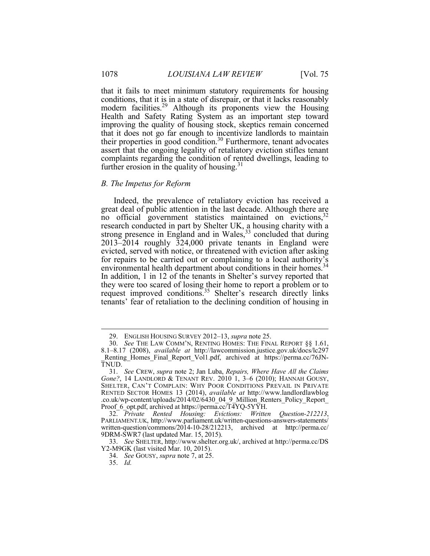modern facilities.<sup>29</sup> Although its proponents view the Housing Health and Safety Rating System as an important step toward improving the quality of housing stock, skeptics remain concerned assert that the ongoing legality of retaliatory eviction stifles tenant further erosion in the quality of housing.<sup>31</sup> that it fails to meet minimum statutory requirements for housing conditions, that it is in a state of disrepair, or that it lacks reasonably that it does not go far enough to incentivize landlords to maintain their properties in good condition.<sup>30</sup> Furthermore, tenant advocates complaints regarding the condition of rented dwellings, leading to

#### *B. The Impetus for Reform*

 great deal of public attention in the last decade. Although there are research conducted in part by Shelter UK, a housing charity with a evicted, served with notice, or threatened with eviction after asking for repairs to be carried out or complaining to a local authority's In addition, 1 in 12 of the tenants in Shelter's survey reported that tenants' fear of retaliation to the declining condition of housing in Indeed, the prevalence of retaliatory eviction has received a no official government statistics maintained on evictions,  $32$ strong presence in England and in Wales, $33$  concluded that during 2013–2014 roughly 324,000 private tenants in England were environmental health department about conditions in their homes.<sup>34</sup> they were too scared of losing their home to report a problem or to request improved conditions.<sup>35</sup> Shelter's research directly links

<sup>29.</sup> ENGLISH HOUSING SURVEY 2012–13, *supra* note 25.

 30. *See* THE LAW COMM'N, RENTING HOMES: THE FINAL REPORT §§ 1.61, 8.1–8.17 (2008), *available at* http://lawcommission.justice.gov.uk/docs/lc297 Renting Homes Final Report Vol1.pdf, archived at https://perma.cc/76JN-TNUD.

 31. *See* CREW, *supra* note 2; Jan Luba, *Repairs, Where Have All the Claims Gone?*, 14 LANDLORD & TENANT REV. 2010 1, 3–6 (2010); HANNAH GOUSY, Proof\_6\_opt.pdf, archived at https://perma.cc/T4YQ-5YYH. SHELTER, CAN'T COMPLAIN: WHY POOR CONDITIONS PREVAIL IN PRIVATE RENTED SECTOR HOMES 13 (2014), *available at* http://www.landlordlawblog .co.uk/wp-content/uploads/2014/02/6430\_04\_9\_Million\_Renters\_Policy\_Report\_

<sup>32.</sup> *Private Rented Housing: Evictions: Written Question-212213*, PARLIAMENT.UK, http://www.parliament.uk/written-questions-answers-statements/ written-question/commons/2014-10-28/212213, archived at http://perma.cc/ 9DRM-SWR7 (last updated Mar. 15, 2015).

 Y2-M9GK (last visited Mar. 10, 2015). 33. *See* SHELTER, http://www.shelter.org.uk/, archived at http://perma.cc/DS

<sup>34.</sup> *See* GOUSY, *supra* note 7, at 25.

<sup>35.</sup> *Id.*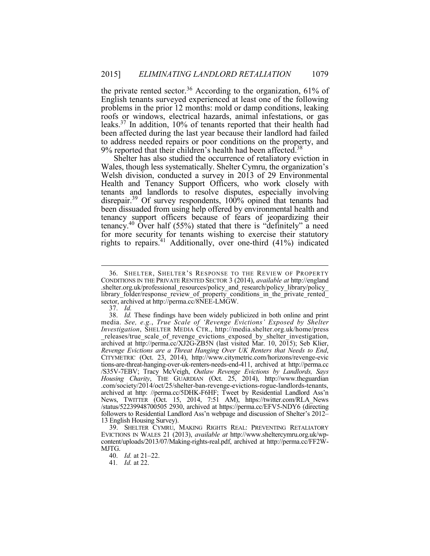the private rented sector.<sup>36</sup> According to the organization, 61% of English tenants surveyed experienced at least one of the following to address needed repairs or poor conditions on the property, and problems in the prior 12 months: mold or damp conditions, leaking roofs or windows, electrical hazards, animal infestations, or gas leaks.37 In addition, 10% of tenants reported that their health had been affected during the last year because their landlord had failed 9% reported that their children's health had been affected.<sup>38</sup>

 Welsh division, conducted a survey in 2013 of 29 Environmental Health and Tenancy Support Officers, who work closely with tenants and landlords to resolve disputes, especially involving disrepair.<sup>39</sup> Of survey respondents, 100% opined that tenants had been dissuaded from using help offered by environmental health and Ī Shelter has also studied the occurrence of retaliatory eviction in Wales, though less systematically. Shelter Cymru, the organization's tenancy support officers because of fears of jeopardizing their tenancy.<sup>40</sup> Over half (55%) stated that there is "definitely" a need for more security for tenants wishing to exercise their statutory rights to repairs.<sup>41</sup> Additionally, over one-third (41%) indicated

 36. SHELTER, SHELTER'S RESPONSE TO THE REVIEW OF PROPERTY CONDITIONS IN THE PRIVATE RENTED SECTOR 3 (2014), *available at* http://england .shelter.org.uk/professional\_resources/policy\_and\_research/policy\_library/policy\_ library folder/response review of property conditions in the private rented sector, archived at http://perma.cc/8NEE-LMGW.

<sup>37.</sup> *Id.* 

 38. *Id.* These findings have been widely publicized in both online and print archived at http://perma.cc/XJ2G-ZB5N (last visited Mar. 10, 2015); Seb Klier, CITYMETRIC (Oct. 23, 2014), http://www.citymetric.com/horizons/revenge-evic archived at http: //perma.cc/5DHK-F6HF; Tweet by Residential Landlord Ass'n /status/52239948700505 2930, archived at https://perma.cc/EFV5-NDY6 (directing followers to Residential Landlord Ass'n webpage and discussion of Shelter's 2012– 13 English Housing Survey). media. *See, e.g.*, *True Scale of 'Revenge Evictions' Exposed by Shelter Investigation*, SHELTER MEDIA CTR., http://media.shelter.org.uk/home/press releases/true scale of revenge evictions exposed by shelter investigation, *Revenge Evictions are a Threat Hanging Over UK Renters that Needs to End*, tions-are-threat-hanging-over-uk-renters-needs-end-411, archived at http://perma.cc /S35V-7EBV; Tracy McVeigh, *Outlaw Revenge Evictions by Landlords, Says Housing Charity*, THE GUARDIAN (Oct. 25, 2014), http://www.theguardian .com/society/2014/oct/25/shelter-ban-revenge-evictions-rogue-landlords-tenants, News, TWITTER (Oct. 15, 2014, 7:51 AM), https://twitter.com/RLA\_News

 content/uploads/2013/07/Making-rights-real.pdf, archived at http://perma.cc/FF2W-39. SHELTER CYMRU, MAKING RIGHTS REAL: PREVENTING RETALIATORY EVICTIONS IN WALES 21 (2013), *available at* http://www.sheltercymru.org.uk/wp-MJTG.

 40. *Id.* at 21–22.

<sup>41</sup>*. Id.* at 22.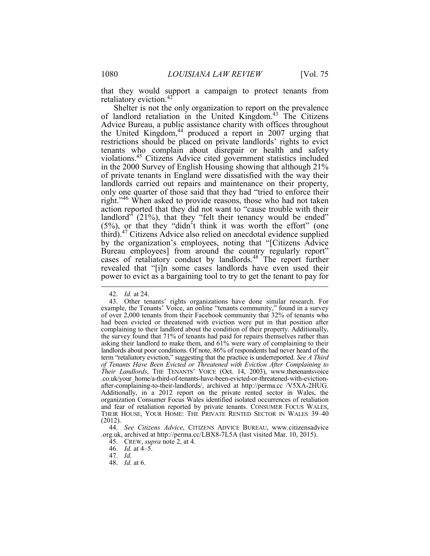Ī that they would support a campaign to protect tenants from retaliatory eviction.<sup>42</sup>

 Advice Bureau, a public assistance charity with offices throughout the United Kingdom,<sup>44</sup> produced a report in 2007 urging that violations.45 Citizens Advice cited government statistics included in the 2000 Survey of English Housing showing that although 21% landlord<sup>3</sup> (21%), that they "felt their tenancy would be ended" (5%), or that they "didn't think it was worth the effort" (one Shelter is not the only organization to report on the prevalence of landlord retaliation in the United Kingdom.<sup>43</sup> The Citizens restrictions should be placed on private landlords' rights to evict tenants who complain about disrepair or health and safety of private tenants in England were dissatisfied with the way their landlords carried out repairs and maintenance on their property, only one quarter of those said that they had "tried to enforce their right."<sup>46</sup> When asked to provide reasons, those who had not taken action reported that they did not want to "cause trouble with their third).47 Citizens Advice also relied on anecdotal evidence supplied by the organization's employees, noting that "[Citizens Advice Bureau employees] from around the country regularly report" cases of retaliatory conduct by landlords.<sup>48</sup> The report further revealed that "[i]n some cases landlords have even used their power to evict as a bargaining tool to try to get the tenant to pay for

<sup>42.</sup> *Id.* at 24.

 43. Other tenants' rights organizations have done similar research. For example, the Tenants' Voice, an online "tenants community," found in a survey had been evicted or threatened with eviction were put in that position after the survey found that 71% of tenants had paid for repairs themselves rather than asking their landlord to make them, and 61% were wary of complaining to their landlords about poor conditions. Of note, 86% of respondents had never heard of the term "retaliatory eviction," suggesting that the practice is underreported. *See A Third Their Landlords*, THE TENANTS' VOICE (Oct. 14, 2003), www.thetenantsvoice after-complaining-to-their-landlords/, archived at http://perma.cc /V5XA-2HUG. Additionally, in a 2012 report on the private rented sector in Wales, the organization Consumer Focus Wales identified isolated occurrences of retaliation and fear of retaliation reported by private tenants. CONSUMER FOCUS WALES, THEIR HOUSE, YOUR HOME: THE PRIVATE RENTED SECTOR IN WALES 39–40 of over 2,000 tenants from their Facebook community that 32% of tenants who complaining to their landlord about the condition of their property. Additionally, *of Tenants Have Been Evicted or Threatened with Eviction After Complaining to* .co.uk/your\_home/a-third-of-tenants-have-been-evicted-or-threatened-with-eviction-(2012).

 .org.uk, archived at http://perma.cc/LBX8-7L5A (last visited Mar. 10, 2015). 44. *See Citizens Advice*, CITIZENS ADVICE BUREAU, www.citizensadvice

<sup>45.</sup> CREW, *supra* note 2, at 4.

<sup>46.</sup> *Id.* at 4–5.

<sup>47.</sup> *Id.* 

<sup>48.</sup> *Id.* at 6.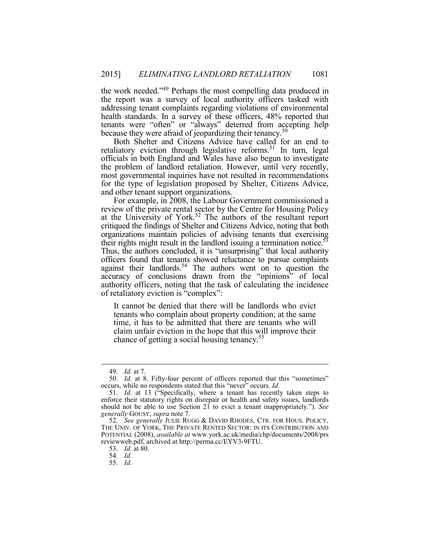the work needed."<sup>49</sup> Perhaps the most compelling data produced in the report was a survey of local authority officers tasked with health standards. In a survey of these officers, 48% reported that tenants were "often" or "always" deterred from accepting help because they were afraid of jeopardizing their tenancy.<sup>50</sup> addressing tenant complaints regarding violations of environmental

 Both Shelter and Citizens Advice have called for an end to the problem of landlord retaliation. However, until very recently, for the type of legislation proposed by Shelter, Citizens Advice, retaliatory eviction through legislative reforms.<sup>51</sup> In turn, legal officials in both England and Wales have also begun to investigate most governmental inquiries have not resulted in recommendations and other tenant support organizations.

at the University of York.<sup>52</sup> The authors of the resultant report critiqued the findings of Shelter and Citizens Advice, noting that both organizations maintain policies of advising tenants that exercising Thus, the authors concluded, it is "unsurprising" that local authority accuracy of conclusions drawn from the "opinions" of local For example, in 2008, the Labour Government commissioned a review of the private rental sector by the Centre for Housing Policy their rights might result in the landlord issuing a termination notice.<sup>53</sup> officers found that tenants showed reluctance to pursue complaints against their landlords.<sup>54</sup> The authors went on to question the authority officers, noting that the task of calculating the incidence of retaliatory eviction is "complex":

 time, it has to be admitted that there are tenants who will chance of getting a social housing tenancy.<sup>55</sup> It cannot be denied that there will be landlords who evict tenants who complain about property condition; at the same claim unfair eviction in the hope that this will improve their

<sup>49.</sup> *Id.* at 7.

 50. *Id.* at 8. Fifty-four percent of officers reported that this "sometimes" occurs, while no respondents stated that this "never" occurs. *Id.* 

 51. *Id.* at 13 ("Specifically, where a tenant has recently taken steps to enforce their statutory rights on disrepair or health and safety issues, landlords should not be able to use Section 21 to evict a tenant inappropriately."). *See generally* GOUSY, *supra* note 7.

 52. *See generally* JULIE RUGG & DAVID RHODES, CTR. FOR HOUS. POLICY, THE UNIV. OF YORK, THE PRIVATE RENTED SECTOR: IN ITS CONTRIBUTION AND POTENTIAL (2008), *available at* www.york.ac.uk/media/chp/documents/2008/prs reviewweb.pdf, archived at http://perma.cc/EYV3-9FTU.

<sup>53.</sup> *Id.* at 80.

<sup>54.</sup> *Id.* 

<sup>55.</sup> *Id.*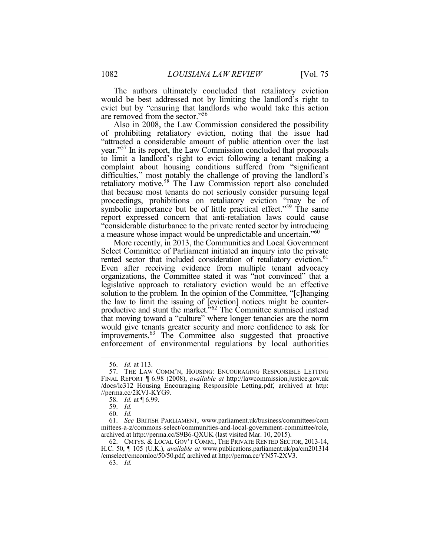The authors ultimately concluded that retaliatory eviction would be best addressed not by limiting the landlord's right to evict but by "ensuring that landlords who would take this action are removed from the sector."56

year."<sup>57</sup> In its report, the Law Commission concluded that proposals to limit a landlord's right to evict following a tenant making a complaint about housing conditions suffered from "significant difficulties," most notably the challenge of proving the landlord's retaliatory motive.<sup>58</sup> The Law Commission report also concluded proceedings, prohibitions on retaliatory eviction "may be of symbolic importance but be of little practical effect."<sup>59</sup> The same "considerable disturbance to the private rented sector by introducing Also in 2008, the Law Commission considered the possibility of prohibiting retaliatory eviction, noting that the issue had "attracted a considerable amount of public attention over the last that because most tenants do not seriously consider pursuing legal report expressed concern that anti-retaliation laws could cause a measure whose impact would be unpredictable and uncertain."60

 Even after receiving evidence from multiple tenant advocacy legislative approach to retaliatory eviction would be an effective solution to the problem. In the opinion of the Committee, "[c]hanging the law to limit the issuing of [eviction] notices might be counter-<br>productive and stunt the market."<sup>62</sup> The Committee surmised instead that moving toward a "culture" where longer tenancies are the norm More recently, in 2013, the Communities and Local Government Select Committee of Parliament initiated an inquiry into the private rented sector that included consideration of retaliatory eviction.<sup>61</sup> organizations, the Committee stated it was "not convinced" that a would give tenants greater security and more confidence to ask for improvements.<sup>63</sup> The Committee also suggested that proactive enforcement of environmental regulations by local authorities

<u>.</u>

63. *Id.* 

<sup>56.</sup> *Id.* at 113.

 57. THE LAW COMM'N, HOUSING: ENCOURAGING RESPONSIBLE LETTING FINAL REPORT ¶ 6.98 (2008), *available at* http://lawcommission.justice.gov.uk /docs/lc312\_Housing\_Encouraging\_Responsible\_Letting.pdf, archived at http:  $\ell$ //perma.cc/ $2$ KVJ-KYG9.

<sup>58.</sup> *Id.* at ¶ 6.99.

<sup>59.</sup> *Id.* 

<sup>60.</sup> *Id.* 

<sup>61.</sup> *See* BRITISH PARLIAMENT, www.parliament.uk/business/committees/com mittees-a-z/commons-select/communities-and-local-government-committee/role, archived at http://perma.cc/S9B6-QXUK (last visited Mar. 10, 2015).

 62. CMTYS. & LOCAL GOV'T COMM., THE PRIVATE RENTED SECTOR, 2013-14, H.C. 50, ¶ 105 (U.K.), *available at* www.publications.parliament.uk/pa/cm201314 /cmselect/cmcomloc/50/50.pdf, archived at http://perma.cc/YN57-2XV3.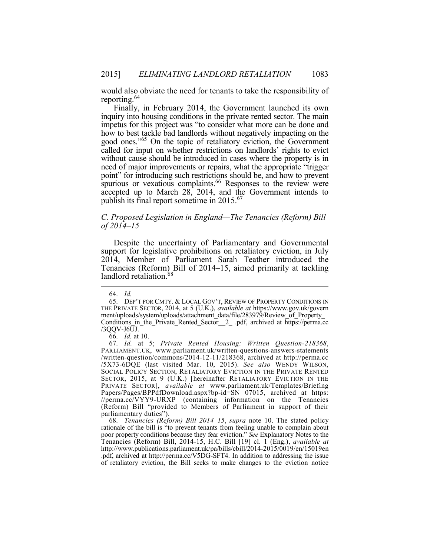would also obviate the need for tenants to take the responsibility of reporting.<sup>64</sup>

 Finally, in February 2014, the Government launched its own inquiry into housing conditions in the private rented sector. The main how to best tackle bad landlords without negatively impacting on the need of major improvements or repairs, what the appropriate "trigger point" for introducing such restrictions should be, and how to prevent spurious or vexatious complaints.<sup>66</sup> Responses to the review were publish its final report sometime in 2015.<sup>67</sup> impetus for this project was "to consider what more can be done and good ones.<sup>"65</sup> On the topic of retaliatory eviction, the Government called for input on whether restrictions on landlords' rights to evict without cause should be introduced in cases where the property is in accepted up to March 28, 2014, and the Government intends to

# *C. Proposed Legislation in England—The Tenancies (Reform) Bill of 2014–15*

 Despite the uncertainty of Parliamentary and Governmental Tenancies (Reform) Bill of 2014–15, aimed primarily at tackling landlord retaliation.<sup>68</sup> support for legislative prohibitions on retaliatory eviction, in July 2014, Member of Parliament Sarah Teather introduced the

 $\overline{a}$ 

 68. *Tenancies (Reform) Bill 2014–15*, *supra* note 10. The stated policy rationale of the bill is "to prevent tenants from feeling unable to complain about poor property conditions because they fear eviction." *See* Explanatory Notes to the Tenancies (Reform) Bill, 2014-15, H.C. Bill [19] cl. 1 (Eng.), *available at*  .pdf, archived at http://perma.cc/V5DG-SFT4. In addition to addressing the issue http://www.publications.parliament.uk/pa/bills/cbill/2014-2015/0019/en/15019en of retaliatory eviction, the Bill seeks to make changes to the eviction notice

<sup>64.</sup> *Id.* 

<sup>65.</sup> DEP'T FOR CMTY. & LOCAL GOV'T, REVIEW OF PROPERTY CONDITIONS IN THE PRIVATE SECTOR, 2014, at 5 (U.K.), *available at* https://www.gov.uk/govern ment/uploads/system/uploads/attachment\_data/file/283979/Review\_of\_Property\_ Conditions\_in\_the\_Private\_Rented\_Sector\_\_2\_ .pdf, archived at https://perma.cc /3QQV-J6UJ.

<sup>66.</sup> *Id.* at 10.

<sup>/5</sup>X73-6DQE (last visited Mar. 10, 2015). See also WENDY WILSON, /5X73-6DQE (last visited Mar. 10, 2015). *See also* WENDY WILSON, SOCIAL POLICY SECTION, RETALIATORY EVICTION IN THE PRIVATE RENTED SECTOR, 2015, at 9 (U.K.) [hereinafter RETALIATORY EVICTION IN THE (Reform) Bill "provided to Members of Parliament in support of their 67. *Id.* at 5; *Private Rented Housing: Written Question-218368*, PARLIAMENT.UK, www.parliament.uk/written-questions-answers-statements /written-question/commons/2014-12-11/218368, archived at http://perma.cc PRIVATE SECTOR], *available at* www.parliament.uk/Templates/Briefing Papers/Pages/BPPdfDownload.aspx?bp-id=SN 07015, archived at https: //perma.cc/VYY9-URXP (containing information on the Tenancies parliamentary duties").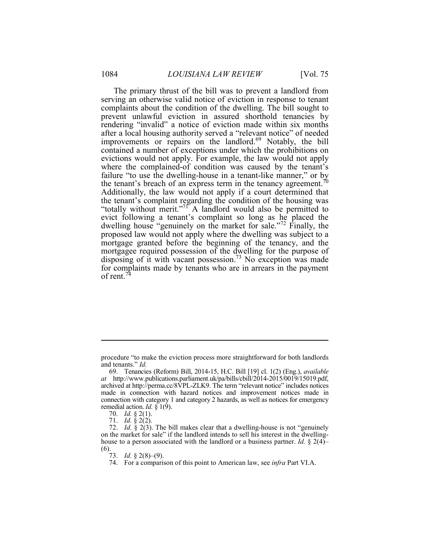The primary thrust of the bill was to prevent a landlord from rendering "invalid" a notice of eviction made within six months after a local housing authority served a "relevant notice" of needed contained a number of exceptions under which the prohibitions on evictions would not apply. For example, the law would not apply where the complained-of condition was caused by the tenant's failure "to use the dwelling-house in a tenant-like manner," or by Additionally, the law would not apply if a court determined that "totally without merit."<sup>71</sup> A landlord would also be permitted to evict following a tenant's complaint so long as he placed the dwelling house "genuinely on the market for sale."<sup>72</sup> Finally, the proposed law would not apply where the dwelling was subject to a mortgagee required possession of the dwelling for the purpose of disposing of it with vacant possession.<sup>73</sup> No exception was made for complaints made by tenants who are in arrears in the payment serving an otherwise valid notice of eviction in response to tenant complaints about the condition of the dwelling. The bill sought to prevent unlawful eviction in assured shorthold tenancies by improvements or repairs on the landlord.<sup>69</sup> Notably, the bill the tenant's breach of an express term in the tenancy agreement.<sup>70</sup> the tenant's complaint regarding the condition of the housing was mortgage granted before the beginning of the tenancy, and the of rent. $74$ 

 procedure "to make the eviction process more straightforward for both landlords and tenants." *Id.* 

 archived at http://perma.cc/8VPL-ZLK9. The term "relevant notice" includes notices made in connection with hazard notices and improvement notices made in connection with category 1 and category 2 hazards, as well as notices for emergency 69. Tenancies (Reform) Bill, 2014-15, H.C. Bill [19] cl. 1(2) (Eng.), *available at* http://www.publications.parliament.uk/pa/bills/cbill/2014-2015/0019/15019.pdf, remedial action. *Id.* § 1(9).

<sup>70.</sup> *Id.* § 2(1).

<sup>71.</sup> *Id.* § 2(2).

 72. *Id.* § 2(3). The bill makes clear that a dwelling-house is not "genuinely house to a person associated with the landlord or a business partner. *Id.* § 2(4)– on the market for sale" if the landlord intends to sell his interest in the dwelling- $(6)$ .

<sup>73.</sup> *Id.* § 2(8)–(9).

<sup>74.</sup> For a comparison of this point to American law, see *infra* Part VI.A.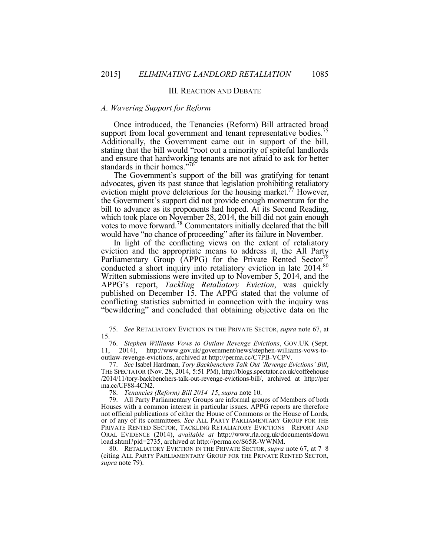## III. REACTION AND DEBATE

#### *A. Wavering Support for Reform*

 $\overline{a}$ 

 stating that the bill would "root out a minority of spiteful landlords standards in their homes."76 Once introduced, the Tenancies (Reform) Bill attracted broad support from local government and tenant representative bodies.<sup>75</sup> Additionally, the Government came out in support of the bill, and ensure that hardworking tenants are not afraid to ask for better

 which took place on November 28, 2014, the bill did not gain enough The Government's support of the bill was gratifying for tenant advocates, given its past stance that legislation prohibiting retaliatory eviction might prove deleterious for the housing market.<sup>77</sup> However, the Government's support did not provide enough momentum for the bill to advance as its proponents had hoped. At its Second Reading, votes to move forward.78 Commentators initially declared that the bill would have "no chance of proceeding" after its failure in November.

 In light of the conflicting views on the extent of retaliatory "bewildering" and concluded that obtaining objective data on the eviction and the appropriate means to address it, the All Party Parliamentary Group (APPG) for the Private Rented Sector<sup>7</sup> conducted a short inquiry into retaliatory eviction in late 2014.<sup>80</sup> Written submissions were invited up to November 5, 2014, and the APPG's report, *Tackling Retaliatory Eviction*, was quickly published on December 15. The APPG stated that the volume of conflicting statistics submitted in connection with the inquiry was

78. *Tenancies (Reform) Bill 2014–15*, *supra* note 10.

 80. RETALIATORY EVICTION IN THE PRIVATE SECTOR, *supra* note 67, at 7–8 (citing ALL PARTY PARLIAMENTARY GROUP FOR THE PRIVATE RENTED SECTOR, *supra* note 79).

<sup>75.</sup> *See* RETALIATORY EVICTION IN THE PRIVATE SECTOR, *supra* note 67, at 15.

<sup>76.</sup> *Stephen Williams Vows to Outlaw Revenge Evictions*, GOV.UK (Sept. 11, 2014), http://www.gov.uk/government/news/stephen-williams-vows-tooutlaw-revenge-evictions, archived at http://perma.cc/C7PB-VCPV.

 THE SPECTATOR (Nov. 28, 2014, 5:51 PM), http://blogs.spectator.co.uk/coffeehouse 77. *See* Isabel Hardman, *Tory Backbenchers Talk Out 'Revenge Evictions' Bill*, /2014/11/tory-backbenchers-talk-out-revenge-evictions-bill/, archived at http://per ma.cc/UF88-4CN2.

 Houses with a common interest in particular issues. APPG reports are therefore or of any of its committees. *See* ALL PARTY PARLIAMENTARY GROUP FOR THE PRIVATE RENTED SECTOR, TACKLING RETALIATORY EVICTIONS—REPORT AND 79. All Party Parliamentary Groups are informal groups of Members of both not official publications of either the House of Commons or the House of Lords, ORAL EVIDENCE (2014), *available at* http://www.rla.org.uk/documents/down load.shtml?pid=2735, archived at http://perma.cc/S65R-WWNM.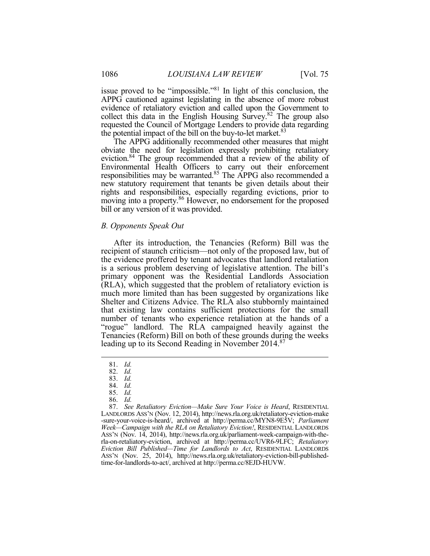APPG cautioned against legislating in the absence of more robust collect this data in the English Housing Survey.<sup>82</sup> The group also issue proved to be "impossible."81 In light of this conclusion, the evidence of retaliatory eviction and called upon the Government to requested the Council of Mortgage Lenders to provide data regarding the potential impact of the bill on the buy-to-let market. $83$ 

 The APPG additionally recommended other measures that might obviate the need for legislation expressly prohibiting retaliatory eviction.<sup>84</sup> The group recommended that a review of the ability of new statutory requirement that tenants be given details about their bill or any version of it was provided. Environmental Health Officers to carry out their enforcement responsibilities may be warranted.<sup>85</sup> The APPG also recommended a rights and responsibilities, especially regarding evictions, prior to moving into a property.<sup>86</sup> However, no endorsement for the proposed

## *B. Opponents Speak Out*

 the evidence proffered by tenant advocates that landlord retaliation (RLA), which suggested that the problem of retaliatory eviction is Shelter and Citizens Advice. The RLA also stubbornly maintained that existing law contains sufficient protections for the small After its introduction, the Tenancies (Reform) Bill was the recipient of staunch criticism—not only of the proposed law, but of is a serious problem deserving of legislative attention. The bill's primary opponent was the Residential Landlords Association much more limited than has been suggested by organizations like number of tenants who experience retaliation at the hands of a "rogue" landlord. The RLA campaigned heavily against the Tenancies (Reform) Bill on both of these grounds during the weeks leading up to its Second Reading in November 2014.<sup>87</sup>

<u>.</u>

 ASS'N (Nov. 14, 2014), http://news.rla.org.uk/parliament-week-campaign-with-the- ASS'N (Nov. 25, 2014), http://news.rla.org.uk/retaliatory-eviction-bill-publishedrla-on-retaliatory-eviction, archived at http://perma.cc/UVR6-9LFC; *Retaliatory Eviction Bill Published—Time for Landlords to Act*, RESIDENTIAL LANDLORDS time-for-landlords-to-act/, archived at http://perma.cc/8EJD-HUVW.

<sup>81.</sup> *Id.* 

<sup>82.</sup> *Id.* 

<sup>83.</sup> *Id.* 

<sup>84.</sup> *Id.*  85. *Id.* 

<sup>86.</sup> *Id.* 

 LANDLORDS ASS'N (Nov. 12, 2014), http://news.rla.org.uk/retaliatory-eviction-make -sure-your-voice-is-heard/, archived at http://perma.cc/MYN8-9E5V; *Parliament Week—Campaign with the RLA on Retaliatory Eviction!*, RESIDENTIAL LANDLORDS 87. *See Retaliatory Eviction—Make Sure Your Voice is Heard*, RESIDENTIAL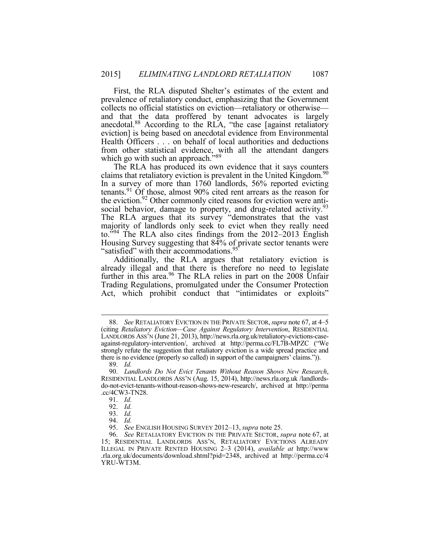First, the RLA disputed Shelter's estimates of the extent and collects no official statistics on eviction—retaliatory or otherwise anecdotal.<sup>88</sup> According to the RLA, "the case [against retaliatory eviction] is being based on anecdotal evidence from Environmental Health Officers . . . on behalf of local authorities and deductions from other statistical evidence, with all the attendant dangers which go with such an approach.<sup>589</sup> prevalence of retaliatory conduct, emphasizing that the Government and that the data proffered by tenant advocates is largely

 The RLA has produced its own evidence that it says counters In a survey of more than 1760 landlords, 56% reported evicting i. social behavior, damage to property, and drug-related activity.<sup>93</sup> The RLA argues that its survey "demonstrates that the vast majority of landlords only seek to evict when they really need to.<sup>394</sup> The RLA also cites findings from the 2012–2013 English Housing Survey suggesting that 84% of private sector tenants were claims that retaliatory eviction is prevalent in the United Kingdom.<sup>90</sup> tenants.91 Of those, almost 90% cited rent arrears as the reason for the eviction.<sup>92</sup> Other commonly cited reasons for eviction were anti-<br>social behavior, damage to property, and drug-related activity.<sup>93</sup> "satisfied" with their accommodations.<sup>95</sup>

 Additionally, the RLA argues that retaliatory eviction is already illegal and that there is therefore no need to legislate further in this area.<sup>96</sup> The RLA relies in part on the 2008 Unfair Trading Regulations, promulgated under the Consumer Protection Act, which prohibit conduct that "intimidates or exploits"

 LANDLORDS ASS'N (June 21, 2013), http://news.rla.org.uk/retaliatory-evictions-case- against-regulatory-intervention/, archived at http://perma.cc/FL7B-MPZC ("We there is no evidence (properly so called) in support of the campaigners' claims.")). 88. *See* RETALIATORY EVICTION IN THE PRIVATE SECTOR, *supra* note 67, at 4–5 (citing *Retaliatory Eviction—Case Against Regulatory Intervention*, RESIDENTIAL strongly refute the suggestion that retaliatory eviction is a wide spread practice and

<sup>89.</sup> *Id.* 

<sup>90.</sup> Landlords Do Not Evict Tenants Without Reason Shows New Research, 90. *Landlords Do Not Evict Tenants Without Reason Shows New Research*, RESIDENTIAL LANDLORDS ASS'N (Aug. 15, 2014), http://news.rla.org.uk /landlordsdo-not-evict-tenants-without-reason-shows-new-research/, archived at http://perma .cc/4CW3-TN28.

<sup>91.</sup> *Id.* 

<sup>92.</sup> *Id.* 

<sup>93.</sup> *Id.* 

<sup>94.</sup> *Id.* 

 95. *See* ENGLISH HOUSING SURVEY 2012–13, *supra* note 25.

 96. *See* RETALIATORY EVICTION IN THE PRIVATE SECTOR, *supra* note 67, at 15; RESIDENTIAL LANDLORDS ASS'N, RETALIATORY EVICTIONS ALREADY ILLEGAL IN PRIVATE RENTED HOUSING 2–3 (2014), *available at* http://www .rla.org.uk/documents/download.shtml?pid=2348, archived at http://perma.cc/4 YRU-WT3M.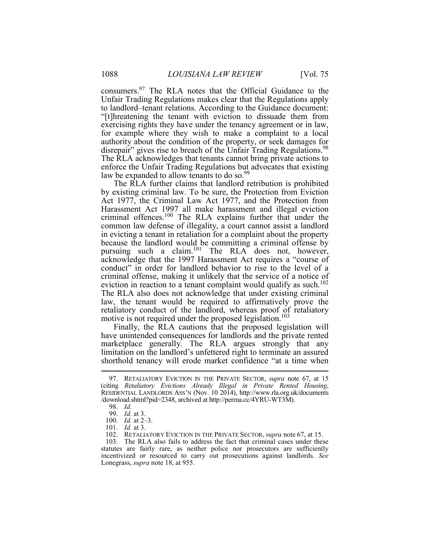"[t]hreatening the tenant with eviction to dissuade them from exercising rights they have under the tenancy agreement or in law, for example where they wish to make a complaint to a local authority about the condition of the property, or seek damages for disrepair" gives rise to breach of the Unfair Trading Regulations.<sup>98</sup> enforce the Unfair Trading Regulations but advocates that existing consumers.97 The RLA notes that the Official Guidance to the Unfair Trading Regulations makes clear that the Regulations apply to landlord–tenant relations. According to the Guidance document: The RLA acknowledges that tenants cannot bring private actions to law be expanded to allow tenants to do so.<sup>99</sup>

 by existing criminal law. To be sure, the Protection from Eviction common law defense of illegality, a court cannot assist a landlord criminal offense, making it unlikely that the service of a notice of retaliatory conduct of the landlord, whereas proof of retaliatory The RLA further claims that landlord retribution is prohibited Act 1977, the Criminal Law Act 1977, and the Protection from Harassment Act 1997 all make harassment and illegal eviction criminal offences.<sup>100</sup> The RLA explains further that under the in evicting a tenant in retaliation for a complaint about the property because the landlord would be committing a criminal offense by pursuing such a claim.<sup>101</sup> The RLA does not, however, acknowledge that the 1997 Harassment Act requires a "course of conduct" in order for landlord behavior to rise to the level of a eviction in reaction to a tenant complaint would qualify as such.<sup>102</sup> The RLA also does not acknowledge that under existing criminal law, the tenant would be required to affirmatively prove the motive is not required under the proposed legislation.<sup>103</sup>

 marketplace generally. The RLA argues strongly that any Finally, the RLA cautions that the proposed legislation will have unintended consequences for landlords and the private rented limitation on the landlord's unfettered right to terminate an assured shorthold tenancy will erode market confidence "at a time when

 (citing *Retaliatory Evictions Already Illegal in Private Rented Housing*, RESIDENTIAL LANDLORDS ASS'N (Nov. 10 2014), http://www.rla.org.uk/documents 97. RETALIATORY EVICTION IN THE PRIVATE SECTOR, *supra* note 67, at 15 /download.shtml?pid=2348, archived at http://perma.cc/4YRU-WT3M).

<sup>98.</sup> *Id.* 

<sup>99.</sup> *Id.* at 3.

 100. *Id.* at 2–3.

<sup>101.</sup> *Id.* at 3.

 102. RETALIATORY EVICTION IN THE PRIVATE SECTOR, *supra* note 67, at 15.

 statutes are fairly rare, as neither police nor prosecutors are sufficiently Lonegrass, *supra* note 18, at 955. 103. The RLA also fails to address the fact that criminal cases under these incentivized or resourced to carry out prosecutions against landlords. *See*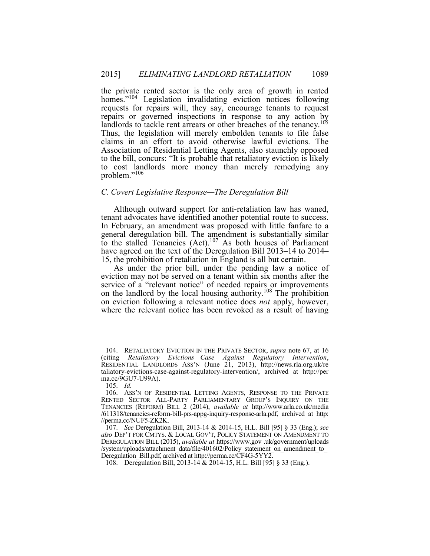the private rented sector is the only area of growth in rented homes."<sup>104</sup> Legislation invalidating eviction notices following requests for repairs will, they say, encourage tenants to request repairs or governed inspections in response to any action by landlords to tackle rent arrears or other breaches of the tenancy.<sup>105</sup> to the bill, concurs: "It is probable that retaliatory eviction is likely to cost landlords more money than merely remedying any Thus, the legislation will merely embolden tenants to file false claims in an effort to avoid otherwise lawful evictions. The Association of Residential Letting Agents, also staunchly opposed problem."<sup>106</sup>

#### *C. Covert Legislative Response—The Deregulation Bill*

 In February, an amendment was proposed with little fanfare to a Although outward support for anti-retaliation law has waned, tenant advocates have identified another potential route to success. general deregulation bill. The amendment is substantially similar to the stalled Tenancies  $(Act)$ .<sup>107</sup> As both houses of Parliament have agreed on the text of the Deregulation Bill 2013–14 to 2014– 15, the prohibition of retaliation in England is all but certain.

 As under the prior bill, under the pending law a notice of service of a "relevant notice" of needed repairs or improvements on eviction following a relevant notice does *not* apply, however, where the relevant notice has been revoked as a result of having eviction may not be served on a tenant within six months after the on the landlord by the local housing authority.<sup>108</sup> The prohibition

 RESIDENTIAL LANDLORDS ASS'N (June 21, 2013), http://news.rla.org.uk/re 104. RETALIATORY EVICTION IN THE PRIVATE SECTOR, *supra* note 67, at 16 (citing *Retaliatory Evictions—Case Against Regulatory Intervention*, taliatory-evictions-case-against-regulatory-intervention/, archived at http://per ma.cc/9GU7-U99A).

<sup>105.</sup> *Id.* 

 106. ASS'N OF RESIDENTIAL LETTING AGENTS, RESPONSE TO THE PRIVATE RENTED SECTOR ALL-PARTY PARLIAMENTARY GROUP'S INQUIRY ON THE /611318/tenancies-reform-bill-prs-appg-inquiry-response-arla.pdf, archived at http: TENANCIES (REFORM) BILL 2 (2014), *available at* http://www.arla.co.uk/media //perma.cc/NUF5-ZK2K.

 107. *See* Deregulation Bill, 2013-14 & 2014-15, H.L. Bill [95] § 33 (Eng.); *see also* DEP'T FOR CMTYS. & LOCAL GOV'T, POLICY STATEMENT ON AMENDMENT TO DEREGULATION BILL (2015), *available at* https://www.gov .uk/government/uploads /system/uploads/attachment\_data/file/401602/Policy\_statement\_on\_amendment\_to\_ Deregulation\_Bill.pdf, archived at http://perma.cc/CF4G-5YY2

 108. Deregulation Bill, 2013-14 & 2014-15, H.L. Bill [95] § 33 (Eng.).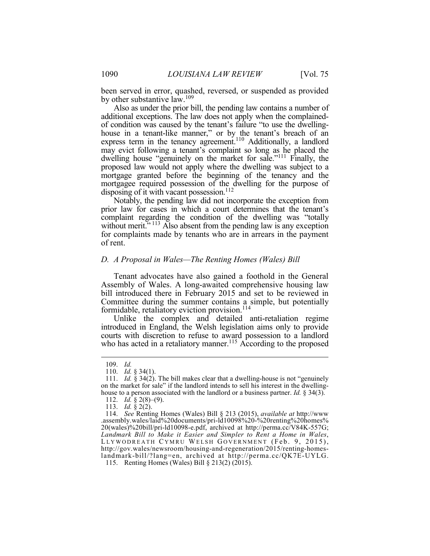been served in error, quashed, reversed, or suspended as provided by other substantive law.<sup>109</sup>

 Also as under the prior bill, the pending law contains a number of additional exceptions. The law does not apply when the complained- of condition was caused by the tenant's failure "to use the dwelling- $\ddot{\phantom{0}}$ dwelling house "genuinely on the market for sale."<sup>111</sup> Finally, the proposed law would not apply where the dwelling was subject to a mortgage granted before the beginning of the tenancy and the mortgagee required possession of the dwelling for the purpose of disposing of it with vacant possession.<sup>112</sup> house in a tenant-like manner," or by the tenant's breach of an express term in the tenancy agreement.<sup>110</sup> Additionally, a landlord may evict following a tenant's complaint so long as he placed the

 prior law for cases in which a court determines that the tenant's complaint regarding the condition of the dwelling was "totally without merit."<sup>113</sup> Also absent from the pending law is any exception for complaints made by tenants who are in arrears in the payment Notably, the pending law did not incorporate the exception from of rent.

#### *D. A Proposal in Wales—The Renting Homes (Wales) Bill*

 Tenant advocates have also gained a foothold in the General Committee during the summer contains a simple, but potentially formidable, retaliatory eviction provision.<sup>114</sup> Assembly of Wales. A long-awaited comprehensive housing law bill introduced there in February 2015 and set to be reviewed in

 Unlike the complex and detailed anti-retaliation regime introduced in England, the Welsh legislation aims only to provide courts with discretion to refuse to award possession to a landlord who has acted in a retaliatory manner.<sup>115</sup> According to the proposed

<sup>109.</sup> *Id.* 

<sup>110.</sup> *Id.* § 34(1).

 111. *Id.* § 34(2). The bill makes clear that a dwelling-house is not "genuinely on the market for sale" if the landlord intends to sell his interest in the dwellinghouse to a person associated with the landlord or a business partner. *Id.* § 34(3).

<sup>112.</sup> *Id.* § 2(8)–(9).

<sup>113.</sup> *Id.* § 2(2).

 114. *See* Renting Homes (Wales) Bill § 213 (2015), *available at* http://www  *Landmark Bill to Make it Easier and Simpler to Rent a Home in Wales*, LLYWODREATH CYMRU WELSH GOVERNMENT (Feb. 9, 2015), .assembly.wales/laid%20documents/pri-ld10098%20-%20renting%20homes% 20(wales)%20bill/pri-ld10098-e.pdf, archived at http://perma.cc/V84K-557G; http://gov.wales/newsroom/housing-and-regeneration/2015/renting-homeslandmark-bill/?lang=en, archived at http://perma.cc/QK7E-UYLG.

<sup>115.</sup> Renting Homes (Wales) Bill § 213(2) (2015).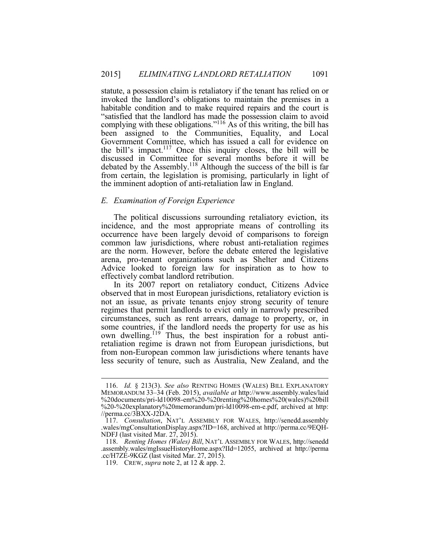statute, a possession claim is retaliatory if the tenant has relied on or habitable condition and to make required repairs and the court is been assigned to the Communities, Equality, and Local Government Committee, which has issued a call for evidence on the bill's impact.<sup>117</sup> Once this inquiry closes, the bill will be discussed in Committee for several months before it will be from certain, the legislation is promising, particularly in light of the imminent adoption of anti-retaliation law in England. invoked the landlord's obligations to maintain the premises in a "satisfied that the landlord has made the possession claim to avoid complying with these obligations."<sup>116</sup> As of this writing, the bill has debated by the Assembly.<sup>118</sup> Although the success of the bill is far

# *E. Examination of Foreign Experience*

 The political discussions surrounding retaliatory eviction, its are the norm. However, before the debate entered the legislative incidence, and the most appropriate means of controlling its occurrence have been largely devoid of comparisons to foreign common law jurisdictions, where robust anti-retaliation regimes arena, pro-tenant organizations such as Shelter and Citizens Advice looked to foreign law for inspiration as to how to effectively combat landlord retribution.

 not an issue, as private tenants enjoy strong security of tenure less security of tenure, such as Australia, New Zealand, and the In its 2007 report on retaliatory conduct, Citizens Advice observed that in most European jurisdictions, retaliatory eviction is regimes that permit landlords to evict only in narrowly prescribed circumstances, such as rent arrears, damage to property, or, in some countries, if the landlord needs the property for use as his own dwelling.<sup>119</sup> Thus, the best inspiration for a robust antiretaliation regime is drawn not from European jurisdictions, but from non-European common law jurisdictions where tenants have

 MEMORANDUM 33–34 (Feb. 2015), *available at* http://www.assembly.wales/laid 116. *Id.* § 213(3). *See also* RENTING HOMES (WALES) BILL EXPLANATORY %20documents/pri-ld10098-em%20-%20renting%20homes%20(wales)%20bill %20-%20explanatory%20memorandum/pri-ld10098-em-e.pdf, archived at http: //perma.cc/3BXX-J2DA.

 117. *Consultation*, NAT'L ASSEMBLY FOR WALES, http://senedd.assembly .wales/mgConsultationDisplay.aspx?ID=168, archived at http://perma.cc/9EQH-NDFJ (last visited Mar. 27, 2015).

 118. *Renting Homes (Wales) Bill*, NAT'L ASSEMBLY FOR WALES, http://senedd .cc/H7ZE-9KGZ (last visited Mar. 27, 2015). .assembly.wales/mgIssueHistoryHome.aspx?IId=12055, archived at http://perma

 119. CREW, *supra* note 2, at 12 & app. 2.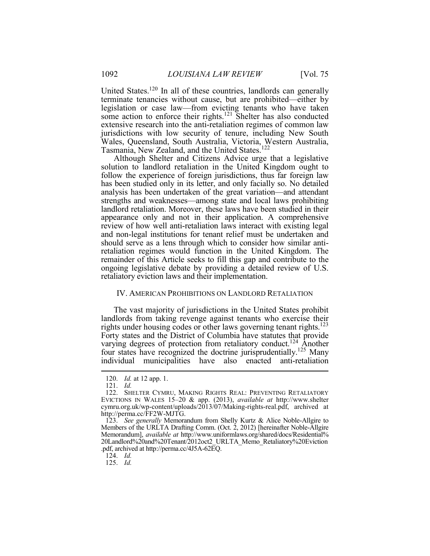extensive research into the anti-retaliation regimes of common law jurisdictions with low security of tenure, including New South United States.120 In all of these countries, landlords can generally terminate tenancies without cause, but are prohibited—either by legislation or case law—from evicting tenants who have taken some action to enforce their rights.<sup>121</sup> Shelter has also conducted Wales, Queensland, South Australia, Victoria, Western Australia, Tasmania, New Zealand, and the United States.<sup>122</sup>

 follow the experience of foreign jurisdictions, thus far foreign law has been studied only in its letter, and only facially so. No detailed strengths and weaknesses—among state and local laws prohibiting landlord retaliation. Moreover, these laws have been studied in their review of how well anti-retaliation laws interact with existing legal and non-legal institutions for tenant relief must be undertaken and remainder of this Article seeks to fill this gap and contribute to the ongoing legislative debate by providing a detailed review of U.S. retaliatory eviction laws and their implementation. Although Shelter and Citizens Advice urge that a legislative solution to landlord retaliation in the United Kingdom ought to analysis has been undertaken of the great variation—and attendant appearance only and not in their application. A comprehensive should serve as a lens through which to consider how similar antiretaliation regimes would function in the United Kingdom. The

# IV. AMERICAN PROHIBITIONS ON LANDLORD RETALIATION

 landlords from taking revenge against tenants who exercise their varying degrees of protection from retaliatory conduct.<sup>124</sup> Another The vast majority of jurisdictions in the United States prohibit rights under housing codes or other laws governing tenant rights.<sup>123</sup> Forty states and the District of Columbia have statutes that provide four states have recognized the doctrine jurisprudentially.125 Many individual municipalities have also enacted anti-retaliation

<u>.</u>

124. *Id.* 

125. *Id.* 

<sup>120.</sup> *Id.* at 12 app. 1.

<sup>121.</sup> *Id.* 

 EVICTIONS IN WALES 15–20 & app. (2013), *available at* http://www.shelter cymru.org.uk/wp-content/uploads/2013/07/Making-rights-real.pdf, archived at 122. SHELTER CYMRU, MAKING RIGHTS REAL: PREVENTING RETALIATORY http://perma.cc/FF2W-MJTG.

 123. *See generally* Memorandum from Shelly Kurtz & Alice Noble-Allgire to Members of the URLTA Drafting Comm. (Oct. 2, 2012) [hereinafter Noble-Allgire .pdf, archived at http://perma.cc/4J5A-62EQ. Memorandum], *available at* http://www.uniformlaws.org/shared/docs/Residential% 20Landlord%20and%20Tenant/2012oct2\_URLTA\_Memo\_Retaliatory%20Eviction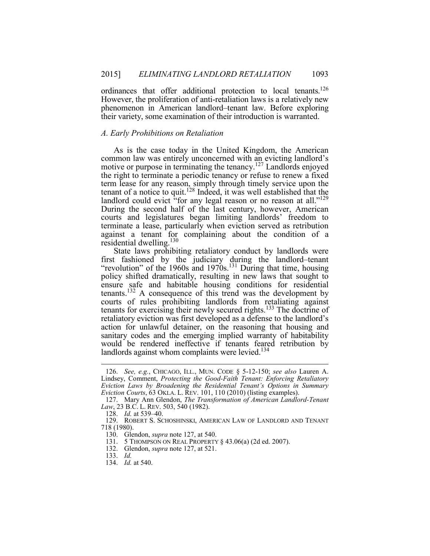However, the proliferation of anti-retaliation laws is a relatively new ordinances that offer additional protection to local tenants.<sup>126</sup> phenomenon in American landlord–tenant law. Before exploring their variety, some examination of their introduction is warranted.

#### *A. Early Prohibitions on Retaliation*

 As is the case today in the United Kingdom, the American the right to terminate a periodic tenancy or refuse to renew a fixed term lease for any reason, simply through timely service upon the tenant of a notice to quit.<sup>128</sup> Indeed, it was well established that the landlord could evict "for any legal reason or no reason at all."<sup>129</sup> courts and legislatures began limiting landlords' freedom to common law was entirely unconcerned with an evicting landlord's motive or purpose in terminating the tenancy.<sup>127</sup> Landlords enjoyed During the second half of the last century, however, American terminate a lease, particularly when eviction served as retribution against a tenant for complaining about the condition of a residential dwelling.<sup>130</sup>

 State laws prohibiting retaliatory conduct by landlords were policy shifted dramatically, resulting in new laws that sought to tenants.<sup>132</sup> A consequence of this trend was the development by tenants for exercising their newly secured rights.<sup>133</sup> The doctrine of retaliatory eviction was first developed as a defense to the landlord's action for unlawful detainer, on the reasoning that housing and would be rendered ineffective if tenants feared retribution by first fashioned by the judiciary during the landlord–tenant "revolution" of the 1960s and 1970s.<sup>131</sup> During that time, housing ensure safe and habitable housing conditions for residential courts of rules prohibiting landlords from retaliating against sanitary codes and the emerging implied warranty of habitability landlords against whom complaints were levied.<sup>134</sup>

 Lindsey, Comment, *Protecting the Good-Faith Tenant: Enforcing Retaliatory Eviction Courts*, 63 OKLA. L. REV. 101, 110 (2010) (listing examples). 126. *See, e.g.*, CHICAGO, ILL., MUN. CODE § 5-12-150; *see also* Lauren A. *Eviction Laws by Broadening the Residential Tenant's Options in Summary*

 127. Mary Ann Glendon, *The Transformation of American Landlord-Tenant Law*, 23 B.C. L. REV. 503, 540 (1982).

 128. *Id.* at 539–40.

 129. ROBERT S. SCHOSHINSKI, AMERICAN LAW OF LANDLORD AND TENANT 718 (1980).

 130. Glendon, *supra* note 127, at 540.

<sup>131. 5</sup> THOMPSON ON REAL PROPERTY § 43.06(a) (2d ed. 2007).

<sup>132.</sup> Glendon, *supra* note 127, at 521.

<sup>133.</sup> *Id.* 

<sup>134.</sup> *Id.* at 540.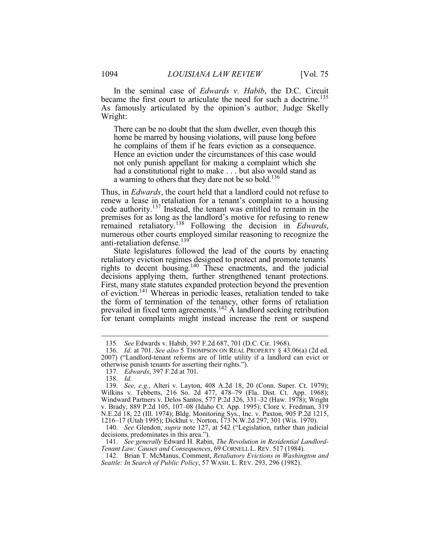became the first court to articulate the need for such a doctrine.<sup>135</sup> As famously articulated by the opinion's author, Judge Skelly In the seminal case of *Edwards v. Habib*, the D.C. Circuit Wright:

 home be marred by housing violations, will pause long before Hence an eviction under the circumstances of this case would not only punish appellant for making a complaint which she a warning to others that they dare not be so bold.<sup>136</sup> There can be no doubt that the slum dweller, even though this he complains of them if he fears eviction as a consequence. had a constitutional right to make . . . but also would stand as

 renew a lease in retaliation for a tenant's complaint to a housing code authority.<sup>137</sup> Instead, the tenant was entitled to remain in the premises for as long as the landlord's motive for refusing to renew remained retaliatory.<sup>138</sup> Following the decision in *Edwards*, numerous other courts employed similar reasoning to recognize the numerous other courts employed similar reasoning to recognize the Thus, in *Edwards*, the court held that a landlord could not refuse to anti-retaliation defense.<sup>139</sup>

 State legislatures followed the lead of the courts by enacting decisions applying them, further strengthened tenant protections. of eviction.<sup>141</sup> Whereas in periodic leases, retaliation tended to take for tenant complaints might instead increase the rent or suspend retaliatory eviction regimes designed to protect and promote tenants' rights to decent housing.<sup>140</sup> These enactments, and the judicial First, many state statutes expanded protection beyond the prevention the form of termination of the tenancy, other forms of retaliation prevailed in fixed term agreements.<sup>142</sup>  $\vec{A}$  landlord seeking retribution

<sup>135.</sup> *See* Edwards v. Habib, 397 F.2d 687, 701 (D.C. Cir. 1968).

<sup>136.</sup> *Id.* at 701. *See also* 5 THOMPSON ON REAL PROPERTY § 43.06(a) (2d ed. 2007) ("Landlord-tenant reforms are of little utility if a landlord can evict or otherwise punish tenants for asserting their rights.").

 137. *Edwards*, 397 F.2d at 701.

<sup>138.</sup> *Id.* 

 v. Brady, 889 P.2d 105, 107–08 (Idaho Ct. App. 1995); Clore v. Fredman, 319 139. *See, e.g.*, Alteri v. Layton, 408 A.2d 18, 20 (Conn. Super. Ct. 1979); Wilkins v. Tebbetts, 216 So. 2d 477, 478–79 (Fla. Dist. Ct. App. 1968); Windward Partners v. Delos Santos, 577 P.2d 326, 331–32 (Haw. 1978); Wright N.E.2d 18, 22 (Ill. 1974); Bldg. Monitoring Sys., Inc. v. Paxton, 905 P.2d 1215, 1216–17 (Utah 1995); Dickhut v. Norton, 173 N.W.2d 297, 301 (Wis. 1970).

 140. *See* Glendon, *supra* note 127, at 542 ("Legislation, rather than judicial decisions, predominates in this area.").

 *Tenant Law: Causes and Consequences*, 69 CORNELL L. REV. 517 (1984). 141. *See generally* Edward H. Rabin, *The Revolution in Residential Landlord-*

 *Seattle: In Search of Public Policy*, 57 WASH. L. REV. 293, 296 (1982).142. Brian T. McManus, Comment, *Retaliatory Evictions in Washington and*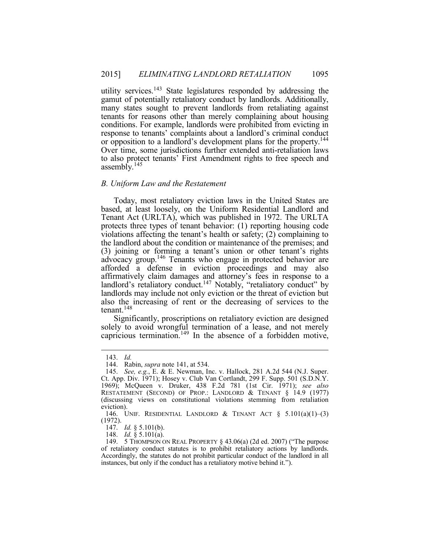utility services.<sup>143</sup> State legislatures responded by addressing the gamut of potentially retaliatory conduct by landlords. Additionally, many states sought to prevent landlords from retaliating against response to tenants' complaints about a landlord's criminal conduct or opposition to a landlord's development plans for the property.<sup>144</sup> Over time, some jurisdictions further extended anti-retaliation laws to also protect tenants' First Amendment rights to free speech and tenants for reasons other than merely complaining about housing conditions. For example, landlords were prohibited from evicting in assembly.<sup>145</sup>

#### *B. Uniform Law and the Restatement*

 Today, most retaliatory eviction laws in the United States are based, at least loosely, on the Uniform Residential Landlord and protects three types of tenant behavior: (1) reporting housing code violations affecting the tenant's health or safety; (2) complaining to (3) joining or forming a tenant's union or other tenant's rights advocacy group.<sup>146</sup> Tenants who engage in protected behavior are afforded a defense in eviction proceedings and may also affirmatively claim damages and attorney's fees in response to a landlord's retaliatory conduct.<sup>147</sup> Notably, "retaliatory conduct" by landlords may include not only eviction or the threat of eviction but tenant.<sup>148</sup> Tenant Act (URLTA), which was published in 1972. The URLTA the landlord about the condition or maintenance of the premises; and also the increasing of rent or the decreasing of services to the

 Significantly, proscriptions on retaliatory eviction are designed solely to avoid wrongful termination of a lease, and not merely capricious termination.<sup>149</sup> In the absence of a forbidden motive,

<sup>143.</sup> *Id.* 

 144. Rabin, *supra* note 141, at 534.

 Ct. App. Div. 1971); Hosey v. Club Van Cortlandt, 299 F. Supp. 501 (S.D.N.Y.  $\overline{a}$ 145. *See, e.g.*, E. & E. Newman, Inc. v. Hallock, 281 A.2d 544 (N.J. Super. 1969); McQueen v. Druker, 438 F.2d 781 (1st Cir. 1971); *see also*  RESTATEMENT (SECOND) OF PROP.: LANDLORD & TENANT § 14.9 (1977) (discussing views on constitutional violations stemming from retaliation eviction).

 146. UNIF. RESIDENTIAL LANDLORD & TENANT ACT § 5.101(a)(1)–(3) (1972).

<sup>147.</sup> *Id.* § 5.101(b).

<sup>148.</sup> *Id.* § 5.101(a).

 of retaliatory conduct statutes is to prohibit retaliatory actions by landlords. Accordingly, the statutes do not prohibit particular conduct of the landlord in all 149. 5 THOMPSON ON REAL PROPERTY § 43.06(a) (2d ed. 2007) ("The purpose instances, but only if the conduct has a retaliatory motive behind it.").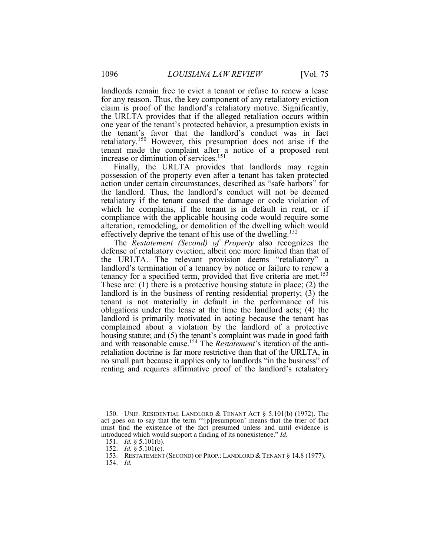landlords remain free to evict a tenant or refuse to renew a lease for any reason. Thus, the key component of any retaliatory eviction claim is proof of the landlord's retaliatory motive. Significantly, the URLTA provides that if the alleged retaliation occurs within increase or diminution of services.<sup>151</sup> one year of the tenant's protected behavior, a presumption exists in the tenant's favor that the landlord's conduct was in fact retaliatory.<sup>150</sup> However, this presumption does not arise if the tenant made the complaint after a notice of a proposed rent

 Finally, the URLTA provides that landlords may regain possession of the property even after a tenant has taken protected action under certain circumstances, described as "safe harbors" for retaliatory if the tenant caused the damage or code violation of compliance with the applicable housing code would require some effectively deprive the tenant of his use of the dwelling.<sup>152</sup> the landlord. Thus, the landlord's conduct will not be deemed which he complains, if the tenant is in default in rent, or if alteration, remodeling, or demolition of the dwelling which would

 landlord's termination of a tenancy by notice or failure to renew a These are: (1) there is a protective housing statute in place; (2) the tenant is not materially in default in the performance of his obligations under the lease at the time the landlord acts; (4) the landlord is primarily motivated in acting because the tenant has and with reasonable cause.154 The *Restatement*'s iteration of the anti-The *Restatement (Second) of Property* also recognizes the defense of retaliatory eviction, albeit one more limited than that of the URLTA. The relevant provision deems "retaliatory" a tenancy for a specified term, provided that five criteria are met.<sup>153</sup> landlord is in the business of renting residential property; (3) the complained about a violation by the landlord of a protective housing statute; and (5) the tenant's complaint was made in good faith retaliation doctrine is far more restrictive than that of the URLTA, in no small part because it applies only to landlords "in the business" of renting and requires affirmative proof of the landlord's retaliatory

154. *Id.* 

 act goes on to say that the term "'[p]resumption' means that the trier of fact must find the existence of the fact presumed unless and until evidence is introduced which would support a finding of its nonexistence." *Id.*  150. UNIF. RESIDENTIAL LANDLORD & TENANT ACT § 5.101(b) (1972). The

<sup>151.</sup> *Id.* § 5.101(b).

<sup>152.</sup> *Id.* § 5.101(c).

<sup>153.</sup> RESTATEMENT (SECOND) OF PROP.: LANDLORD & TENANT § 14.8 (1977).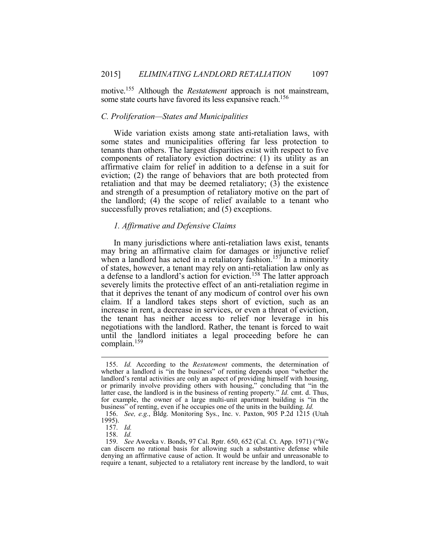some state courts have favored its less expansive reach.<sup>156</sup> motive.155 Although the *Restatement* approach is not mainstream,

#### *C. Proliferation—States and Municipalities*

 Wide variation exists among state anti-retaliation laws, with some states and municipalities offering far less protection to tenants than others. The largest disparities exist with respect to five components of retaliatory eviction doctrine: (1) its utility as an affirmative claim for relief in addition to a defense in a suit for retaliation and that may be deemed retaliatory;  $(3)$  the existence the landlord; (4) the scope of relief available to a tenant who eviction; (2) the range of behaviors that are both protected from and strength of a presumption of retaliatory motive on the part of successfully proves retaliation; and (5) exceptions.

#### *1. Affirmative and Defensive Claims*

 In many jurisdictions where anti-retaliation laws exist, tenants may bring an affirmative claim for damages or injunctive relief of states, however, a tenant may rely on anti-retaliation law only as severely limits the protective effect of an anti-retaliation regime in that it deprives the tenant of any modicum of control over his own increase in rent, a decrease in services, or even a threat of eviction, the tenant has neither access to relief nor leverage in his until the landlord initiates a legal proceeding before he can when a landlord has acted in a retaliatory fashion.<sup>157</sup> In a minority a defense to a landlord's action for eviction.<sup>158</sup> The latter approach claim. If a landlord takes steps short of eviction, such as an negotiations with the landlord. Rather, the tenant is forced to wait complain.<sup>159</sup>

 landlord's rental activities are only an aspect of providing himself with housing, or primarily involve providing others with housing," concluding that "in the for example, the owner of a large multi-unit apartment building is "in the business" of renting, even if he occupies one of the units in the building. *Id.*  155. *Id.* According to the *Restatement* comments, the determination of whether a landlord is "in the business" of renting depends upon "whether the latter case, the landlord is in the business of renting property." *Id.* cmt. d. Thus,

<sup>156.</sup> *See, e.g.*, Bldg. Monitoring Sys., Inc. v. Paxton, 905 P.2d 1215 (Utah 1995).

<sup>157.</sup> Id.

<sup>158.</sup> Id.

 can discern no rational basis for allowing such a substantive defense while denying an affirmative cause of action. It would be unfair and unreasonable to require a tenant, subjected to a retaliatory rent increase by the landlord, to wait157. *Id.* 158. *Id.* 159. *See* Aweeka v. Bonds, 97 Cal. Rptr. 650, 652 (Cal. Ct. App. 1971) ("We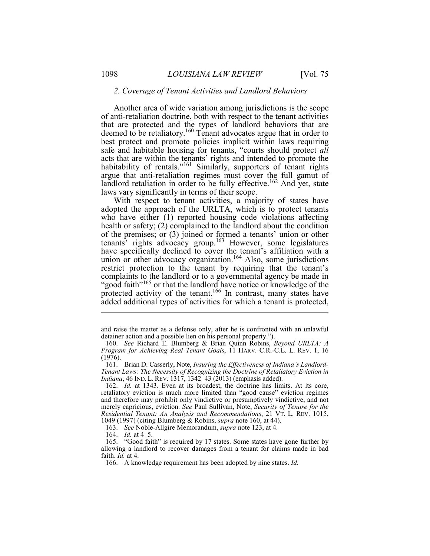#### *2. Coverage of Tenant Activities and Landlord Behaviors*

deemed to be retaliatory.<sup>160</sup> Tenant advocates argue that in order to best protect and promote policies implicit within laws requiring acts that are within the tenants' rights and intended to promote the habitability of rentals."<sup>161</sup> Similarly, supporters of tenant rights argue that anti-retaliation regimes must cover the full gamut of landlord retaliation in order to be fully effective.<sup>162</sup> And yet, state Another area of wide variation among jurisdictions is the scope of anti-retaliation doctrine, both with respect to the tenant activities that are protected and the types of landlord behaviors that are safe and habitable housing for tenants, "courts should protect *all*  laws vary significantly in terms of their scope.

 With respect to tenant activities, a majority of states have who have either (1) reported housing code violations affecting restrict protection to the tenant by requiring that the tenant's complaints to the landlord or to a governmental agency be made in adopted the approach of the URLTA, which is to protect tenants health or safety; (2) complained to the landlord about the condition of the premises; or (3) joined or formed a tenants' union or other tenants' rights advocacy group.<sup>163</sup> However, some legislatures have specifically declined to cover the tenant's affiliation with a union or other advocacy organization.<sup>164</sup> Also, some jurisdictions "good faith"<sup>165</sup> or that the landlord have notice or knowledge of the protected activity of the tenant.<sup>166</sup> In contrast, many states have added additional types of activities for which a tenant is protected,

 and raise the matter as a defense only, after he is confronted with an unlawful detainer action and a possible lien on his personal property.").

 160. *See* Richard E. Blumberg & Brian Quinn Robins, *Beyond URLTA: A Program for Achieving Real Tenant Goals*, 11 HARV. C.R.-C.L. L. REV. 1, 16 (1976).

 161. Brian D. Casserly, Note, *Insuring the Effectiveness of Indiana's Landlord- Indiana*, 46 IND. L. REV. 1317, 1342–43 (2013) (emphasis added). *Tenant Laws: The Necessity of Recognizing the Doctrine of Retaliatory Eviction in*

 162. *Id.* at 1343. Even at its broadest, the doctrine has limits. At its core, merely capricious, eviction. *See* Paul Sullivan, Note, *Security of Tenure for the Residential Tenant: An Analysis and Recommendations*, 21 VT. L. REV. 1015, 1049 (1997) (citing Blumberg & Robins, *supra* note 160, at 44). retaliatory eviction is much more limited than "good cause" eviction regimes and therefore may prohibit only vindictive or presumptively vindictive, and not

<sup>163.</sup> *See* Noble-Allgire Memorandum, *supra* note 123, at 4.

<sup>164.</sup> *Id.* at 4–5.

 165. "Good faith" is required by 17 states. Some states have gone further by allowing a landlord to recover damages from a tenant for claims made in bad faith. *Id.* at 4.

<sup>166.</sup> A knowledge requirement has been adopted by nine states. *Id.*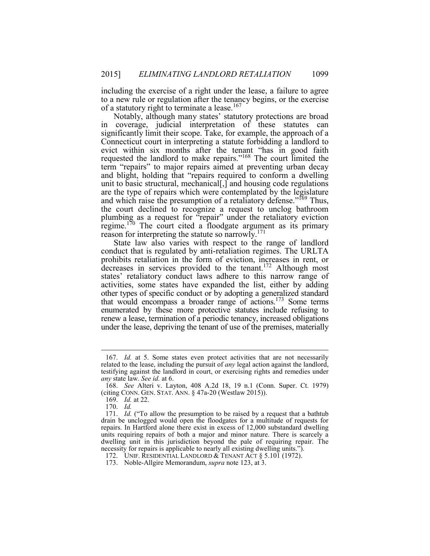including the exercise of a right under the lease, a failure to agree to a new rule or regulation after the tenancy begins, or the exercise of a statutory right to terminate a lease.<sup>167</sup>

 in coverage, judicial interpretation of these statutes can significantly limit their scope. Take, for example, the approach of a Connecticut court in interpreting a statute forbidding a landlord to requested the landlord to make repairs."<sup>168</sup> The court limited the term "repairs" to major repairs aimed at preventing urban decay and blight, holding that "repairs required to conform a dwelling unit to basic structural, mechanical[,] and housing code regulations are the type of repairs which were contemplated by the legislature and which raise the presumption of a retaliatory defense."<sup>169</sup> Thus, the court declined to recognize a request to unclog bathroom plumbing as a request for "repair" under the retaliatory eviction Notably, although many states' statutory protections are broad evict within six months after the tenant "has in good faith regime.<sup>170</sup> The court cited a floodgate argument as its primary reason for interpreting the statute so narrowly.<sup>171</sup>

 State law also varies with respect to the range of landlord conduct that is regulated by anti-retaliation regimes. The URLTA activities, some states have expanded the list, either by adding other types of specific conduct or by adopting a generalized standard that would encompass a broader range of actions.<sup>173</sup> Some terms enumerated by these more protective statutes include refusing to under the lease, depriving the tenant of use of the premises, materially prohibits retaliation in the form of eviction, increases in rent, or decreases in services provided to the tenant.<sup>172</sup> Although most states' retaliatory conduct laws adhere to this narrow range of renew a lease, termination of a periodic tenancy, increased obligations

 related to the lease, including the pursuit of *any* legal action against the landlord, 167. *Id.* at 5. Some states even protect activities that are not necessarily testifying against the landlord in court, or exercising rights and remedies under *any* state law. *See id.* at 6.

 (citing CONN. GEN. STAT. ANN. § 47a-20 (Westlaw 2015)). 168. *See* Alteri v. Layton, 408 A.2d 18, 19 n.1 (Conn. Super. Ct. 1979)

<sup>169.</sup> *Id.* at 22.

<sup>170.</sup> *Id.* 

<sup>171.</sup> *Id.* ("To allow the presumption to be raised by a request that a bathtub repairs. In Hartford alone there exist in excess of 12,000 substandard dwelling dwelling unit in this jurisdiction beyond the pale of requiring repair. The drain be unclogged would open the floodgates for a multitude of requests for units requiring repairs of both a major and minor nature. There is scarcely a necessity for repairs is applicable to nearly all existing dwelling units.").

<sup>172.</sup> UNIF. RESIDENTIAL LANDLORD & TENANT ACT § 5.101 (1972).

<sup>173.</sup> Noble-Allgire Memorandum, *supra* note 123, at 3.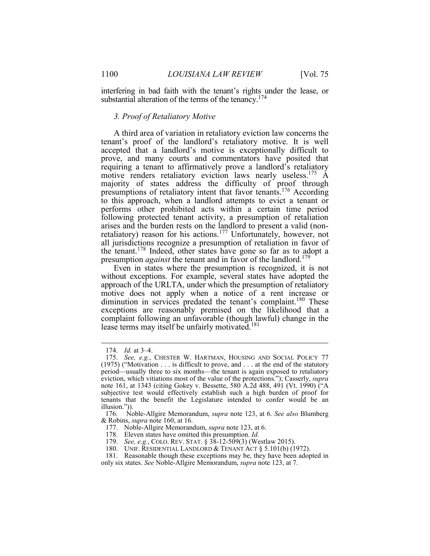interfering in bad faith with the tenant's rights under the lease, or substantial alteration of the terms of the tenancy.<sup>174</sup>

#### *3. Proof of Retaliatory Motive*

 tenant's proof of the landlord's retaliatory motive. It is well accepted that a landlord's motive is exceptionally difficult to prove, and many courts and commentators have posited that requiring a tenant to affirmatively prove a landlord's retaliatory motive renders retaliatory eviction laws nearly useless.<sup>175</sup> A majority of states address the difficulty of proof through presumptions of retaliatory intent that favor tenants.<sup>176</sup> According to this approach, when a landlord attempts to evict a tenant or performs other prohibited acts within a certain time period following protected tenant activity, a presumption of retaliation all jurisdictions recognize a presumption of retaliation in favor of the tenant.<sup>178</sup> Indeed, other states have gone so far as to adopt a A third area of variation in retaliatory eviction law concerns the arises and the burden rests on the landlord to present a valid (nonretaliatory) reason for his actions.<sup>177</sup> Unfortunately, however, not presumption *against* the tenant and in favor of the landlord.<sup>179</sup>

 Even in states where the presumption is recognized, it is not approach of the URLTA, under which the presumption of retaliatory motive does not apply when a notice of a rent increase or diminution in services predated the tenant's complaint.<sup>180</sup> These complaint following an unfavorable (though lawful) change in the without exceptions. For example, several states have adopted the exceptions are reasonably premised on the likelihood that a lease terms may itself be unfairly motivated.<sup>181</sup>

<sup>174.</sup> *Id.* at 3–4.

 175. *See, e.g.*, CHESTER W. HARTMAN, HOUSING AND SOCIAL POLICY 77 (1975) ("Motivation . . . is difficult to prove, and . . . at the end of the statutory eviction, which vitiations most of the value of the protections."); Casserly, *supra* note 161, at 1343 (citing Gokey v. Bessette, 580 A.2d 488, 491 (Vt. 1990) ("A subjective test would effectively establish such a high burden of proof for tenants that the benefit the Legislature intended to confer would be an period—usually three to six months—the tenant is again exposed to retaliatory illusion.")).

<sup>176.</sup> Noble-Allgire Memorandum, *supra* note 123, at 6. *See also* Blumberg & Robins, *supra* note 160, at 16.

 177. Noble-Allgire Memorandum, *supra* note 123, at 6.

<sup>178.</sup> Eleven states have omitted this presumption. *Id.* 

 179. *See, e.g.*, COLO. REV. STAT. § 38-12-509(3) (Westlaw 2015).

<sup>180.</sup> UNIF. RESIDENTIAL LANDLORD & TENANT ACT § 5.101(b) (1972).

<sup>181.</sup> Reasonable though these exceptions may be, they have been adopted in only six states. *See* Noble-Allgire Memorandum, *supra* note 123, at 7.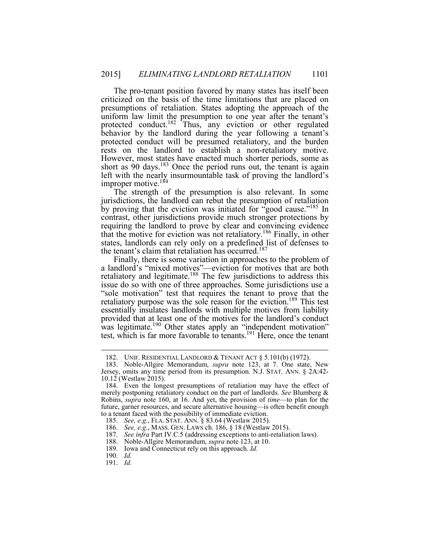The pro-tenant position favored by many states has itself been criticized on the basis of the time limitations that are placed on uniform law limit the presumption to one year after the tenant's protected conduct.<sup>182</sup> Thus, any eviction or other regulated behavior by the landlord during the year following a tenant's improper motive.<sup>184</sup> presumptions of retaliation. States adopting the approach of the protected conduct will be presumed retaliatory, and the burden rests on the landlord to establish a non-retaliatory motive. However, most states have enacted much shorter periods, some as short as  $90$  days.<sup>183</sup> Once the period runs out, the tenant is again left with the nearly insurmountable task of proving the landlord's

by proving that the eviction was initiated for "good cause."<sup>185</sup> In requiring the landlord to prove by clear and convincing evidence that the motive for eviction was not retaliatory.<sup>186</sup> Finally, in other states, landlords can rely only on a predefined list of defenses to the tenant's claim that retaliation has occurred.<sup>187</sup> The strength of the presumption is also relevant. In some jurisdictions, the landlord can rebut the presumption of retaliation contrast, other jurisdictions provide much stronger protections by

 Finally, there is some variation in approaches to the problem of "sole motivation" test that requires the tenant to prove that the essentially insulates landlords with multiple motives from liability was legitimate.<sup>190</sup> Other states apply an "independent motivation" a landlord's "mixed motives"—eviction for motives that are both retaliatory and legitimate.<sup>188</sup> The few jurisdictions to address this issue do so with one of three approaches. Some jurisdictions use a retaliatory purpose was the sole reason for the eviction.<sup>189</sup> This test provided that at least one of the motives for the landlord's conduct test, which is far more favorable to tenants.<sup>191</sup> Here, once the tenant

<sup>182.</sup> UNIF. RESIDENTIAL LANDLORD & TENANT ACT § 5.101(b) (1972).

 Jersey, omits any time period from its presumption. N.J. STAT. ANN. § 2A:42- 10.12 (Westlaw 2015). 183. Noble-Allgire Memorandum, *supra* note 123, at 7. One state, New

 184. Even the longest presumptions of retaliation may have the effect of merely postponing retaliatory conduct on the part of landlords. *See* Blumberg & Robins, *supra* note 160, at 16. And yet, the provision of *time*—to plan for the future, garner resources, and secure alternative housing—is often benefit enough to a tenant faced with the possibility of immediate eviction.

 185. *See, e.g.*, FLA. STAT. ANN. § 83.64 (Westlaw 2015).

 186. *See, e.g.*, MASS. GEN. LAWS ch. 186, § 18 (Westlaw 2015).

 187. *See infra* Part IV.C.5 (addressing exceptions to anti-retaliation laws).

 188. Noble-Allgire Memorandum, *supra* note 123, at 10.

 189. Iowa and Connecticut rely on this approach. *Id.* 

<sup>190.</sup> *Id.* 

<sup>191.</sup> *Id.*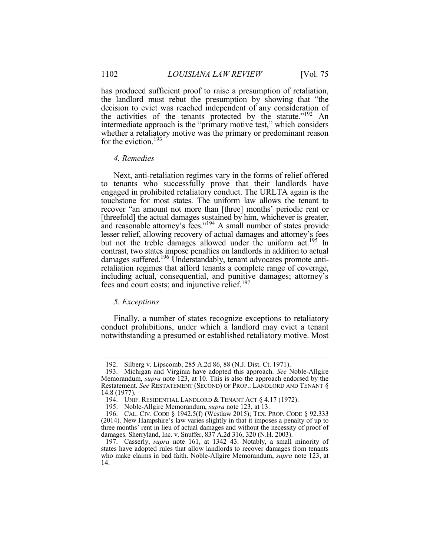the landlord must rebut the presumption by showing that "the decision to evict was reached independent of any consideration of the activities of the tenants protected by the statute."<sup>192</sup> An intermediate approach is the "primary motive test," which considers whether a retaliatory motive was the primary or predominant reason for the eviction.<sup>193</sup> has produced sufficient proof to raise a presumption of retaliation,

# *4. Remedies*

 Next, anti-retaliation regimes vary in the forms of relief offered lesser relief, allowing recovery of actual damages and attorney's fees but not the treble damages allowed under the uniform act.<sup>195</sup> In retaliation regimes that afford tenants a complete range of coverage, including actual, consequential, and punitive damages; attorney's to tenants who successfully prove that their landlords have engaged in prohibited retaliatory conduct. The URLTA again is the touchstone for most states. The uniform law allows the tenant to recover "an amount not more than [three] months' periodic rent or [threefold] the actual damages sustained by him, whichever is greater, and reasonable attorney's fees."<sup>194</sup> A small number of states provide contrast, two states impose penalties on landlords in addition to actual damages suffered.<sup>196</sup> Understandably, tenant advocates promote antifees and court costs; and injunctive relief.<sup>197</sup>

## *5. Exceptions*

 $\overline{a}$ 

 Finally, a number of states recognize exceptions to retaliatory conduct prohibitions, under which a landlord may evict a tenant notwithstanding a presumed or established retaliatory motive. Most

<sup>192.</sup> Silberg v. Lipscomb, 285 A.2d 86, 88 (N.J. Dist. Ct. 1971).

 Memorandum, *supra* note 123, at 10. This is also the approach endorsed by the 193. Michigan and Virginia have adopted this approach. *See* Noble-Allgire Restatement. *See* RESTATEMENT (SECOND) OF PROP.: LANDLORD AND TENANT § 14.8 (1977).

<sup>194.</sup> UNIF. RESIDENTIAL LANDLORD & TENANT ACT § 4.17 (1972).

 195. Noble-Allgire Memorandum, *supra* note 123, at 13.

 196. CAL. CIV. CODE § 1942.5(f) (Westlaw 2015); TEX. PROP. CODE § 92.333 (2014). New Hampshire's law varies slightly in that it imposes a penalty of up to three months' rent in lieu of actual damages and without the necessity of proof of damages. Sherryland, Inc. v. Snuffer, 837 A.2d 316, 320 (N.H. 2003).

 197. Casserly, *supra* note 161, at 1342–43. Notably, a small minority of states have adopted rules that allow landlords to recover damages from tenants who make claims in bad faith. Noble-Allgire Memorandum, *supra* note 123, at 14.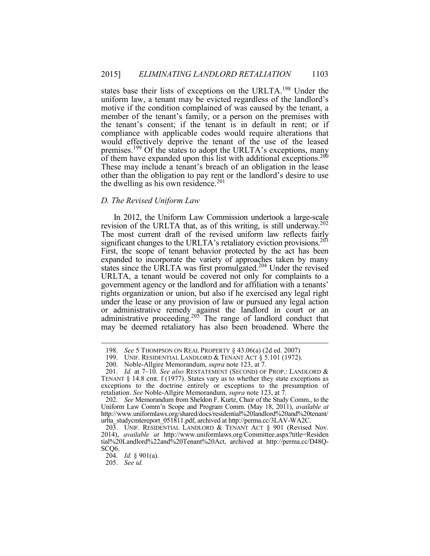states base their lists of exceptions on the URLTA.<sup>198</sup> Under the motive if the condition complained of was caused by the tenant, a member of the tenant's family, or a person on the premises with the tenant's consent; if the tenant is in default in rent; or if of them have expanded upon this list with additional exceptions.<sup>200</sup> These may include a tenant's breach of an obligation in the lease uniform law, a tenant may be evicted regardless of the landlord's compliance with applicable codes would require alterations that would effectively deprive the tenant of the use of the leased premises.<sup>199</sup> Of the states to adopt the URLTA's exceptions, many other than the obligation to pay rent or the landlord's desire to use the dwelling as his own residence. $201$ 

# *D. The Revised Uniform Law*

revision of the URLTA that, as of this writing, is still underway.<sup>202</sup> significant changes to the URLTA's retaliatory eviction provisions.<sup>203</sup> First, the scope of tenant behavior protected by the act has been expanded to incorporate the variety of approaches taken by many states since the URLTA was first promulgated.<sup>204</sup> Under the revised URLTA, a tenant would be covered not only for complaints to a government agency or the landlord and for affiliation with a tenants' under the lease or any provision of law or pursued any legal action or administrative remedy against the landlord in court or an administrative proceeding.<sup>205</sup> The range of landlord conduct that In 2012, the Uniform Law Commission undertook a large-scale The most current draft of the revised uniform law reflects fairly rights organization or union, but also if he exercised any legal right may be deemed retaliatory has also been broadened. Where the

<sup>198.</sup> *See* 5 THOMPSON ON REAL PROPERTY § 43.06(a) (2d ed. 2007)

<sup>199.</sup> UNIF. RESIDENTIAL LANDLORD & TENANT ACT § 5.101 (1972).

 200. Noble-Allgire Memorandum, *supra* note 123, at 7.

TENANT  $\S$  14.8 cmt. f (1977). States vary as to whether they state exceptions as exceptions to the doctrine entirely or exceptions to the presumption of 201. *Id.* at 7–10. *See also* RESTATEMENT (SECOND) OF PROP.: LANDLORD & retaliation. *See* Noble-Allgire Memorandum, *supra* note 123, at 7.

 202. *See* Memorandum from Sheldon F. Kurtz, Chair of the Study Comm., to the Uniform Law Comm'n Scope and Program Comm. (May 18, 2011), *available at*  http://www.uniformlaws.org/shared/docs/residential%20landlord%20and%20tenant/ urlta\_studycmtereport\_051811.pdf, archived at http://perma.cc/3LAV-WA2C.

 203. UNIF. RESIDENTIAL LANDLORD & TENANT ACT § 901 (Revised Nov. 2014), *available at* http://www.uniformlaws.org/Committee.aspx?title=Residen tial%20Landlord%22and%20Tenant%20Act, archived at http://perma.cc/D48Q-SCQ6.

<sup>204.</sup> *Id.* § 901(a).

<sup>205.</sup> *See id.*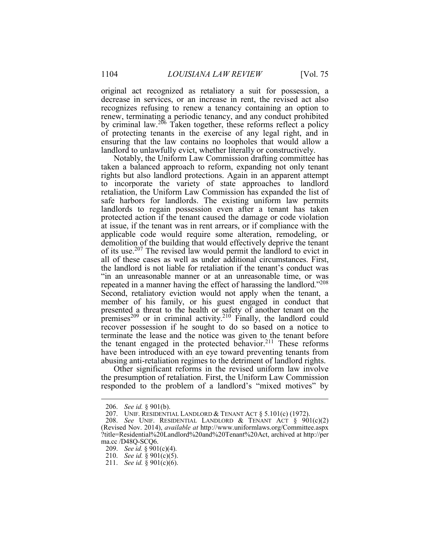original act recognized as retaliatory a suit for possession, a decrease in services, or an increase in rent, the revised act also recognizes refusing to renew a tenancy containing an option to of protecting tenants in the exercise of any legal right, and in renew, terminating a periodic tenancy, and any conduct prohibited by criminal law.<sup>206</sup> Taken together, these reforms reflect a policy ensuring that the law contains no loopholes that would allow a landlord to unlawfully evict, whether literally or constructively.

 Notably, the Uniform Law Commission drafting committee has taken a balanced approach to reform, expanding not only tenant safe harbors for landlords. The existing uniform law permits landlords to regain possession even after a tenant has taken protected action if the tenant caused the damage or code violation demolition of the building that would effectively deprive the tenant of its use.<sup>207</sup> The revised law would permit the landlord to evict in all of these cases as well as under additional circumstances. First, the landlord is not liable for retaliation if the tenant's conduct was "in an unreasonable manner or at an unreasonable time, or was repeated in a manner having the effect of harassing the landlord."208 premises<sup>209</sup> or in criminal activity.<sup>210</sup> Finally, the landlord could terminate the lease and the notice was given to the tenant before have been introduced with an eye toward preventing tenants from rights but also landlord protections. Again in an apparent attempt to incorporate the variety of state approaches to landlord retaliation, the Uniform Law Commission has expanded the list of at issue, if the tenant was in rent arrears, or if compliance with the applicable code would require some alteration, remodeling, or Second, retaliatory eviction would not apply when the tenant, a member of his family, or his guest engaged in conduct that presented a threat to the health or safety of another tenant on the recover possession if he sought to do so based on a notice to the tenant engaged in the protected behavior. $211$  These reforms abusing anti-retaliation regimes to the detriment of landlord rights.

Other significant reforms in the revised uniform law involve the presumption of retaliation. First, the Uniform Law Commission responded to the problem of a landlord's "mixed motives" by

<sup>206.</sup> *See id.* § 901(b).

<sup>207.</sup> UNIF. RESIDENTIAL LANDLORD & TENANT ACT § 5.101(c) (1972).

 208. *See* UNIF. RESIDENTIAL LANDLORD & TENANT ACT § 901(c)(2) ?title=Residential%20Landlord%20and%20Tenant%20Act, archived at http://per (Revised Nov. 2014), *available at* http://www.uniformlaws.org/Committee.aspx ma.cc /D48Q-SCQ6.

<sup>209.</sup> *See id.* § 901(c)(4).

<sup>210.</sup> *See id.* § 901(c)(5).

<sup>211.</sup> *See id.* § 901(c)(6).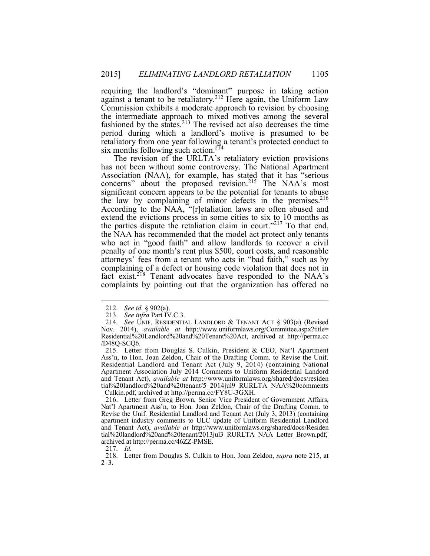retaliatory from one year following a tenant's protected conduct to six months following such action.<sup>214</sup> requiring the landlord's "dominant" purpose in taking action against a tenant to be retaliatory.<sup>212</sup> Here again, the Uniform Law Commission exhibits a moderate approach to revision by choosing the intermediate approach to mixed motives among the several fashioned by the states. $213$  The revised act also decreases the time period during which a landlord's motive is presumed to be

 Association (NAA), for example, has stated that it has "serious According to the NAA, "[r]etaliation laws are often abused and the parties dispute the retaliation claim in court."<sup>217</sup> To that end, penalty of one month's rent plus \$500, court costs, and reasonable complaining of a defect or housing code violation that does not in complaints by pointing out that the organization has offered no The revision of the URLTA's retaliatory eviction provisions has not been without some controversy. The National Apartment concerns" about the proposed revision.<sup>215</sup> The NAA's most significant concern appears to be the potential for tenants to abuse the law by complaining of minor defects in the premises.<sup>216</sup> extend the evictions process in some cities to six to 10 months as the NAA has recommended that the model act protect only tenants who act in "good faith" and allow landlords to recover a civil attorneys' fees from a tenant who acts in "bad faith," such as by fact exist.<sup>218</sup> Tenant advocates have responded to the NAA's

<sup>212.</sup> *See id.* § 902(a).

<sup>213.</sup> *See infra* Part IV.C.3.

 214. *See* UNIF. RESIDENTIAL LANDLORD & TENANT ACT § 903(a) (Revised Residential%20Landlord%20and%20Tenant%20Act, archived at http://perma.cc Nov. 2014), *available at* http://www.uniformlaws.org/Committee.aspx?title= /D48Q-SCQ6.

 215. Letter from Douglas S. Culkin, President & CEO, Nat'l Apartment Residential Landlord and Tenant Act (July 9, 2014) (containing National Ass'n, to Hon. Joan Zeldon, Chair of the Drafting Comm. to Revise the Unif. Apartment Association July 2014 Comments to Uniform Residential Landord and Tenant Act), *available at* http://www.uniformlaws.org/shared/docs/residen tial%20landlord%20and%20tenant/5\_2014jul9\_RURLTA\_NAA%20comments \_Culkin.pdf, archived at http://perma.cc/FY8U-3GXH.

 216. Letter from Greg Brown, Senior Vice President of Government Affairs, Nat'l Apartment Ass'n, to Hon. Joan Zeldon, Chair of the Drafting Comm. to Revise the Unif. Residential Landlord and Tenant Act (July 3, 2013) (containing apartment industry comments to ULC update of Uniform Residential Landlord and Tenant Act), *available at* http://www.uniformlaws.org/shared/docs/Residen tial%20landlord%20and%20tenant/2013jul3\_RURLTA\_NAA\_Letter\_Brown.pdf, archived at http://perma.cc/46ZZ-PMSE.

<sup>217.</sup> *Id.* 

 218. Letter from Douglas S. Culkin to Hon. Joan Zeldon, *supra* note 215, at  $2-3$ .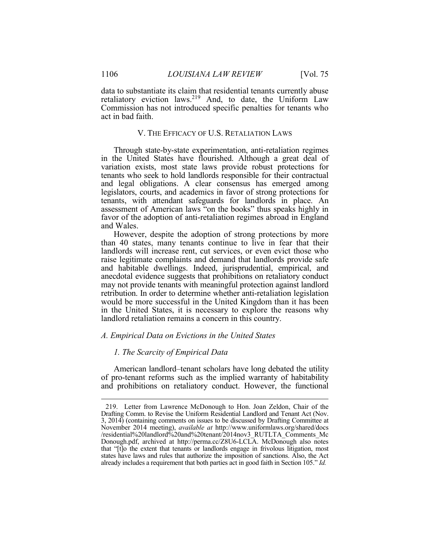data to substantiate its claim that residential tenants currently abuse Commission has not introduced specific penalties for tenants who retaliatory eviction laws.<sup>219</sup> And, to date, the Uniform Law act in bad faith.

# V. THE EFFICACY OF U.S. RETALIATION LAWS

 in the United States have flourished. Although a great deal of legislators, courts, and academics in favor of strong protections for Through state-by-state experimentation, anti-retaliation regimes variation exists, most state laws provide robust protections for tenants who seek to hold landlords responsible for their contractual and legal obligations. A clear consensus has emerged among tenants, with attendant safeguards for landlords in place. An assessment of American laws "on the books" thus speaks highly in favor of the adoption of anti-retaliation regimes abroad in England and Wales.

 However, despite the adoption of strong protections by more may not provide tenants with meaningful protection against landlord than 40 states, many tenants continue to live in fear that their landlords will increase rent, cut services, or even evict those who raise legitimate complaints and demand that landlords provide safe and habitable dwellings. Indeed, jurisprudential, empirical, and anecdotal evidence suggests that prohibitions on retaliatory conduct retribution. In order to determine whether anti-retaliation legislation would be more successful in the United Kingdom than it has been in the United States, it is necessary to explore the reasons why landlord retaliation remains a concern in this country.

#### *A. Empirical Data on Evictions in the United States*

# *1. The Scarcity of Empirical Data*

 American landlord–tenant scholars have long debated the utility of pro-tenant reforms such as the implied warranty of habitability and prohibitions on retaliatory conduct. However, the functional

 3, 2014) (containing comments on issues to be discussed by Drafting Committee at Donough.pdf, archived at http://perma.cc/Z8U6-LCLA. McDonough also notes that "[t]o the extent that tenants or landlords engage in frivolous litigation, most states have laws and rules that authorize the imposition of sanctions. Also, the Act already includes a requirement that both parties act in good faith in Section 105." *Id.* 219. Letter from Lawrence McDonough to Hon. Joan Zeldon, Chair of the Drafting Comm. to Revise the Uniform Residential Landlord and Tenant Act (Nov. November 2014 meeting), *available at* http://www.uniformlaws.org/shared/docs /residential%20landlord%20and%20tenant/2014nov3\_RUTLTA\_Comments\_Mc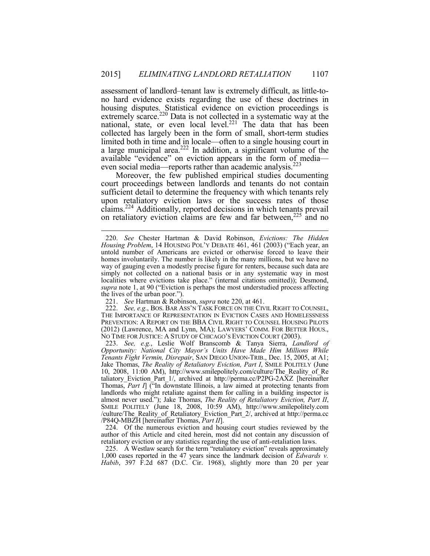assessment of landlord–tenant law is extremely difficult, as little-to- no hard evidence exists regarding the use of these doctrines in i. limited both in time and in locale—often to a single housing court in housing disputes. Statistical evidence on eviction proceedings is extremely scarce.<sup>220</sup> Data is not collected in a systematic way at the national, state, or even local level.<sup>221</sup> The data that has been collected has largely been in the form of small, short-term studies a large municipal area.<sup>222</sup> In addition, a significant volume of the available "evidence" on eviction appears in the form of media even social media—reports rather than academic analysis.<sup>223</sup>

 court proceedings between landlords and tenants do not contain sufficient detail to determine the frequency with which tenants rely on retaliatory eviction claims are few and far between,<sup>225</sup> and no Moreover, the few published empirical studies documenting upon retaliatory eviction laws or the success rates of those claims.224 Additionally, reported decisions in which tenants prevail

 untold number of Americans are evicted or otherwise forced to leave their homes involuntarily. The number is likely in the many millions, but we have no simply not collected on a national basis or in any systematic way in most *supra* note 1, at 90 ("Eviction is perhaps the most understudied process affecting 220. *See* Chester Hartman & David Robinson, *Evictions: The Hidden Housing Problem*, 14 HOUSING POL'Y DEBATE 461, 461 (2003) ("Each year, an way of gauging even a modestly precise figure for renters, because such data are localities where evictions take place." (internal citations omitted)); Desmond, the lives of the urban poor.").

 221. *See* Hartman & Robinson, *supra* note 220, at 461.

 222. *See, e.g.*, BOS. BAR ASS'N TASK FORCE ON THE CIVIL RIGHT TO COUNSEL, THE IMPORTANCE OF REPRESENTATION IN EVICTION CASES AND HOMELESSNESS THE IMPORTANCE OF REPRESENTATION IN EVICTION CASES AND HOMELESSNESS PREVENTION: A REPORT ON THE BBA CIVIL RIGHT TO COUNSEL HOUSING PILOTS (2012) (Lawrence, MA and Lynn, MA); LAWYERS' COMM. FOR BETTER HOUS., (2012) (Lawrence, MA and Lynn, MA); LAWYERS' COMM. FOR BETTER HOUS., NO TIME FOR JUSTICE: <sup>A</sup> STUDY OF CHICAGO'S EVICTION COURT (2003).

 223. *See, e.g.*, Leslie Wolf Branscomb & Tanya Sierra, *Landlord of Tenants Fight Vermin, Disrepair*, SAN DIEGO UNION-TRIB., Dec. 15, 2005, at A1; Jake Thomas, *The Reality of Retaliatory Eviction, Part I*, SMILE POLITELY (June Thomas, *Part I*] ("In downstate Illinois, a law aimed at protecting tenants from /P84Q-MBZH [hereinafter Thomas, *Part II*]. *Opportunity: National City Mayor's Units Have Made Him Millions While*  10, 2008, 11:00 AM), http://www.smilepolitely.com/culture/The\_Reality\_of\_Re taliatory\_Eviction\_Part\_1/, archived at http://perma.cc/P2PG-2AXZ [hereinafter landlords who might retaliate against them for calling in a building inspector is almost never used."); Jake Thomas, *The Reality of Retaliatory Eviction, Part II*, SMILE POLITELY (June 18, 2008, 10:59 AM), http://www.smilepolitely.com /culture/The\_Reality\_of\_Retaliatory\_Eviction\_Part\_2/, archived at http://perma.cc

 retaliatory eviction or any statistics regarding the use of anti-retaliation laws. 224. Of the numerous eviction and housing court studies reviewed by the author of this Article and cited herein, most did not contain any discussion of

<sup>225.</sup> A Westlaw search for the term "retaliatory eviction" reveals approximately 1,000 cases reported in the 47 years since the landmark decision of *Edwards v. Habib*, 397 F.2d 687 (D.C. Cir. 1968), slightly more than 20 per year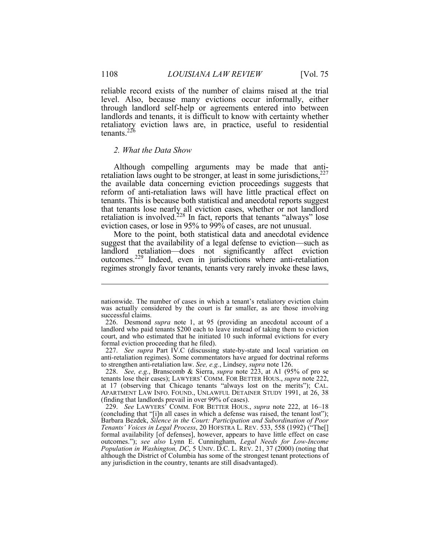reliable record exists of the number of claims raised at the trial level. Also, because many evictions occur informally, either through landlord self-help or agreements entered into between landlords and tenants, it is difficult to know with certainty whether retaliatory eviction laws are, in practice, useful to residential tenants. $226$ 

# *2. What the Data Show*

 Although compelling arguments may be made that antiretaliation laws ought to be stronger, at least in some jurisdictions,  $227$  reform of anti-retaliation laws will have little practical effect on the available data concerning eviction proceedings suggests that tenants. This is because both statistical and anecdotal reports suggest that tenants lose nearly all eviction cases, whether or not landlord retaliation is involved.<sup>228</sup> In fact, reports that tenants "always" lose eviction cases, or lose in 95% to 99% of cases, are not unusual. More to the point, both statistical data and anecdotal evidence

 suggest that the availability of a legal defense to eviction—such as regimes strongly favor tenants, tenants very rarely invoke these laws, landlord retaliation—does not significantly affect eviction outcomes.229 Indeed, even in jurisdictions where anti-retaliation

 nationwide. The number of cases in which a tenant's retaliatory eviction claim was actually considered by the court is far smaller, as are those involving successful claims.

 226. Desmond *supra* note 1, at 95 (providing an anecdotal account of a landlord who paid tenants \$200 each to leave instead of taking them to eviction court, and who estimated that he initiated 10 such informal evictions for every formal eviction proceeding that he filed).

 227. *See supra* Part IV.C (discussing state-by-state and local variation on to strengthen anti-retaliation law. *See, e.g.*, Lindsey, *supra* note 126. anti-retaliation regimes). Some commentators have argued for doctrinal reforms

 tenants lose their cases); LAWYERS' COMM. FOR BETTER HOUS., *supra* note 222, at 17 (observing that Chicago tenants "always lost on the merits"); CAL. APARTMENT LAW INFO. FOUND., UNLAWFUL DETAINER STUDY 1991, at 26, 38 (finding that landlords prevail in over 99% of cases). 228. *See, e.g.*, Branscomb & Sierra, *supra* note 223, at A1 (95% of pro se

 229. *See* LAWYERS' COMM. FOR BETTER HOUS., *supra* note 222, at 16–18 (concluding that "[i]n all cases in which a defense was raised, the tenant lost"); formal availability [of defenses], however, appears to have little effect on case although the District of Columbia has some of the strongest tenant protections of Barbara Bezdek, *Silence in the Court: Participation and Subordination of Poor Tenants' Voices in Legal Process*, 20 HOFSTRA L. REV. 533, 558 (1992) ("The[] outcomes."); *see also* Lynn E. Cunningham, *Legal Needs for Low-Income Population in Washington, DC*, 5 UNIV. D.C. L. REV. 21, 37 (2000) (noting that any jurisdiction in the country, tenants are still disadvantaged).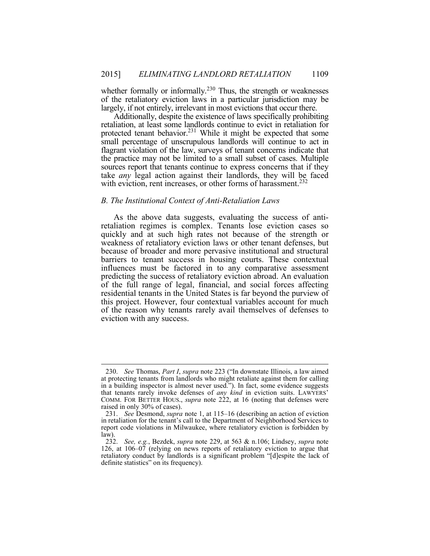of the retaliatory eviction laws in a particular jurisdiction may be whether formally or informally.<sup>230</sup> Thus, the strength or weaknesses largely, if not entirely, irrelevant in most evictions that occur there.

 retaliation, at least some landlords continue to evict in retaliation for protected tenant behavior.<sup>231</sup> While it might be expected that some small percentage of unscrupulous landlords will continue to act in flagrant violation of the law, surveys of tenant concerns indicate that the practice may not be limited to a small subset of cases. Multiple sources report that tenants continue to express concerns that if they Additionally, despite the existence of laws specifically prohibiting take *any* legal action against their landlords, they will be faced with eviction, rent increases, or other forms of harassment.<sup>232</sup>

# *B. The Institutional Context of Anti-Retaliation Laws*

 quickly and at such high rates not because of the strength or influences must be factored in to any comparative assessment predicting the success of retaliatory eviction abroad. An evaluation of the reason why tenants rarely avail themselves of defenses to As the above data suggests, evaluating the success of antiretaliation regimes is complex. Tenants lose eviction cases so weakness of retaliatory eviction laws or other tenant defenses, but because of broader and more pervasive institutional and structural barriers to tenant success in housing courts. These contextual of the full range of legal, financial, and social forces affecting residential tenants in the United States is far beyond the purview of this project. However, four contextual variables account for much eviction with any success.

 230. *See* Thomas, *Part I*, *supra* note 223 ("In downstate Illinois, a law aimed at protecting tenants from landlords who might retaliate against them for calling Ī in a building inspector is almost never used."). In fact, some evidence suggests that tenants rarely invoke defenses of *any kind* in eviction suits. LAWYERS' COMM. FOR BETTER HOUS., *supra* note 222, at 16 (noting that defenses were raised in only 30% of cases).

 231. *See* Desmond, *supra* note 1, at 115–16 (describing an action of eviction report code violations in Milwaukee, where retaliatory eviction is forbidden by in retaliation for the tenant's call to the Department of Neighborhood Services to law).

 232. *See, e.g.*, Bezdek, *supra* note 229, at 563 & n.106; Lindsey, *supra* note 126, at 106–07 (relying on news reports of retaliatory eviction to argue that retaliatory conduct by landlords is a significant problem "[d]espite the lack of definite statistics" on its frequency).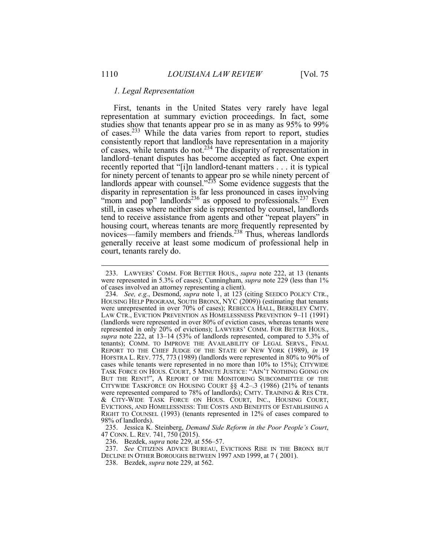#### *1. Legal Representation*

 First, tenants in the United States very rarely have legal consistently report that landlords have representation in a majority recently reported that "[i]n landlord-tenant matters . . . it is typical for ninety percent of tenants to appear pro se while ninety percent of still, in cases where neither side is represented by counsel, landlords tend to receive assistance from agents and other "repeat players" in housing court, whereas tenants are more frequently represented by representation at summary eviction proceedings. In fact, some studies show that tenants appear pro se in as many as 95% to 99% of cases.<sup>233</sup> While the data varies from report to report, studies of cases, while tenants do not.<sup>234</sup> The disparity of representation in landlord–tenant disputes has become accepted as fact. One expert landlords appear with counsel." $235$  Some evidence suggests that the disparity in representation is far less pronounced in cases involving "mom and pop" landlords<sup>236</sup> as opposed to professionals.<sup>237</sup> Even novices—family members and friends.<sup>238</sup> Thus, whereas landlords generally receive at least some modicum of professional help in court, tenants rarely do.

 47 CONN. L. REV. 741, 750 (2015). 235. Jessica K. Steinberg, *Demand Side Reform in the Poor People's Court*,

236. Bezdek, *supra* note 229, at 556–57.

 237. *See* CITIZENS ADVICE BUREAU, EVICTIONS RISE IN THE BRONX BUT DECLINE IN OTHER BOROUGHS BETWEEN 1997 AND 1999, at 7 ( 2001).

238. Bezdek, *supra* note 229, at 562.

 were represented in 5.3% of cases); Cunningham, *supra* note 229 (less than 1% 233. LAWYERS' COMM. FOR BETTER HOUS., *supra* note 222, at 13 (tenants of cases involved an attorney representing a client).

 234. *See, e.g.*, Desmond, *supra* note 1, at 123 (citing SEEDCO POLICY CTR., HOUSING HELP PROGRAM, SOUTH BRONX, NYC (2009)) (estimating that tenants were unrepresented in over 70% of cases); REBECCA HALL, BERKELEY CMTY. LAW CTR., EVICTION PREVENTION AS HOMELESSNESS PREVENTION 9–11 (1991) (landlords were represented in over 80% of eviction cases, whereas tenants were represented in only 20% of evictions); LAWYERS' COMM. FOR BETTER HOUS., *supra* note 222, at 13–14 (53% of landlords represented, compared to 5.3% of tenants); COMM. TO IMPROVE THE AVAILABILITY OF LEGAL SERVS., FINAL REPORT TO THE CHIEF JUDGE OF THE STATE OF NEW YORK (1989), *in* 19 HOFSTRA L. REV. 775, 773 (1989) (landlords were represented in 80% to 90% of TASK FORCE ON HOUS. COURT, 5 MINUTE JUSTICE: "AIN'T NOTHING GOING ON BUT THE RENT!", A REPORT OF THE MONITORING SUBCOMMITTEE OF THE CITYWIDE TASKFORCE ON HOUSING COURT §§ 4.2–.3 (1986) (21% of tenants were represented compared to 78% of landlords); CMTY. TRAINING & RES CTR. & CITY-WIDE TASK FORCE ON HOUS. COURT, INC., HOUSING COURT, RIGHT TO COUNSEL (1993) (tenants represented in 12% of cases compared to 98% of landlords). cases while tenants were represented in no more than 10% to 15%); CITYWIDE EVICTIONS, AND HOMELESSNESS: THE COSTS AND BENEFITS OF ESTABLISHING A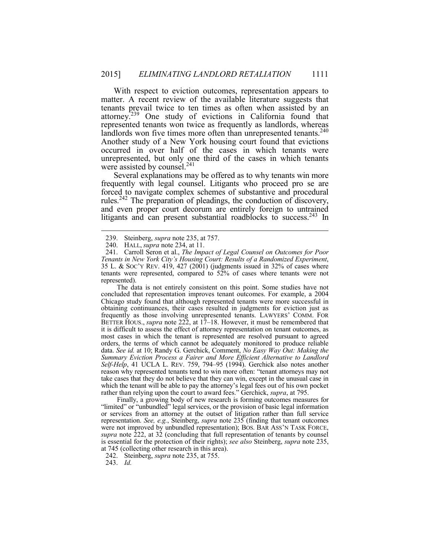With respect to eviction outcomes, representation appears to tenants prevail twice to ten times as often when assisted by an attorney.<sup>239</sup> One study of evictions in California found that represented tenants won twice as frequently as landlords, whereas landlords won five times more often than unrepresented tenants.<sup>240</sup> Another study of a New York housing court found that evictions matter. A recent review of the available literature suggests that occurred in over half of the cases in which tenants were unrepresented, but only one third of the cases in which tenants were assisted by counsel.<sup>241</sup>

 Several explanations may be offered as to why tenants win more forced to navigate complex schemes of substantive and procedural and even proper court decorum are entirely foreign to untrained litigants and can present substantial roadblocks to success.<sup>243</sup> In frequently with legal counsel. Litigants who proceed pro se are rules.242 The preparation of pleadings, the conduction of discovery,

<u>.</u>

 concluded that representation improves tenant outcomes. For example, a 2004 Chicago study found that although represented tenants were more successful in obtaining continuances, their cases resulted in judgments for eviction just as it is difficult to assess the effect of attorney representation on tenant outcomes, as most cases in which the tenant is represented are resolved pursuant to agreed orders, the terms of which cannot be adequately monitored to produce reliable *Self-Help*, 41 UCLA L. REV. 759, 794–95 (1994). Gerchick also notes another take cases that they do not believe that they can win, except in the unusual case in which the tenant will be able to pay the attorney's legal fees out of his own pocket The data is not entirely consistent on this point. Some studies have not frequently as those involving unrepresented tenants. LAWYERS' COMM. FOR BETTER HOUS., *supra* note 222, at 17–18. However, it must be remembered that data. *See id.* at 10; Randy G. Gerchick, Comment, *No Easy Way Out: Making the Summary Eviction Process a Fairer and More Efficient Alternative to Landlord* reason why represented tenants tend to win more often: "tenant attorneys may not rather than relying upon the court to award fees." Gerchick, *supra*, at 795.

 Finally, a growing body of new research is forming outcomes measures for "limited" or "unbundled" legal services, or the provision of basic legal information representation. *See, e.g.*, Steinberg, *supra* note 235 (finding that tenant outcomes were not improved by unbundled representation); BOS. BAR ASS'N TASK FORCE, *supra* note 222, at 32 (concluding that full representation of tenants by counsel is essential for the protection of their rights); *see also* Steinberg, *supra* note 235, or services from an attorney at the outset of litigation rather than full service at 745 (collecting other research in this area).

243. *Id.* 

<sup>239.</sup> Steinberg, *supra* note 235, at 757.

<sup>240.</sup> HALL, *supra* note 234, at 11.

 241. Carroll Seron et al., *The Impact of Legal Counsel on Outcomes for Poor* Tenants in New York City's Housing Court: Results of a Randomized Experiment, *Tenants in New York City's Housing Court: Results of a Randomized Experiment*, 35 L. & SOC'Y REV. 419, 427 (2001) (judgments issued in 32% of cases where tenants were represented, compared to 52% of cases where tenants were not represented).

 242. Steinberg, *supra* note 235, at 755.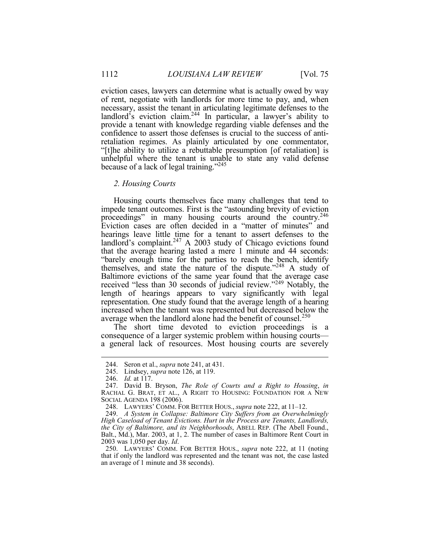eviction cases, lawyers can determine what is actually owed by way of rent, negotiate with landlords for more time to pay, and, when necessary, assist the tenant in articulating legitimate defenses to the landlord<sup>3</sup>s eviction claim.<sup>244</sup> In particular, a lawyer's ability to provide a tenant with knowledge regarding viable defenses and the confidence to assert those defenses is crucial to the success of anti- retaliation regimes. As plainly articulated by one commentator, "[t]he ability to utilize a rebuttable presumption [of retaliation] is unhelpful where the tenant is unable to state any valid defense because of a lack of legal training."<sup>245</sup>

#### *2. Housing Courts*

 Housing courts themselves face many challenges that tend to impede tenant outcomes. First is the "astounding brevity of eviction proceedings" in many housing courts around the country.<sup>246</sup> Eviction cases are often decided in a "matter of minutes" and that the average hearing lasted a mere 1 minute and 44 seconds: "barely enough time for the parties to reach the bench, identify Baltimore evictions of the same year found that the average case representation. One study found that the average length of a hearing increased when the tenant was represented but decreased below the average when the landlord alone had the benefit of counsel.<sup>250</sup> hearings leave little time for a tenant to assert defenses to the landlord's complaint.<sup>247</sup> A 2003 study of Chicago evictions found themselves, and state the nature of the dispute."248 A study of received "less than 30 seconds of judicial review."249 Notably, the length of hearings appears to vary significantly with legal

The short time devoted to eviction proceedings is a consequence of a larger systemic problem within housing courts a general lack of resources. Most housing courts are severely

<sup>244.</sup> Seron et al., *supra* note 241, at 431.

<sup>245.</sup> Lindsey, *supra* note 126, at 119.

 246. *Id.* at 117.

 RACHAL G. BRAT, ET AL., A RIGHT TO HOUSING: FOUNDATION FOR A NEW 247. David B. Bryson, *The Role of Courts and a Right to Housing*, *in*  SOCIAL AGENDA 198 (2006).

 248. LAWYERS' COMM. FOR BETTER HOUS., *supra* note 222, at 11–12.

 *the City of Baltimore, and its Neighborhoods*, ABELL REP. (The Abell Found., Balt., Md.), Mar. 2003, at 1, 2. The number of cases in Baltimore Rent Court in 249. *A System in Collapse: Baltimore City Suffers from an Overwhelmingly High Caseload of Tenant Evictions. Hurt in the Process are Tenants, Landlords,* 2003 was 1,050 per day. *Id*.

 250. LAWYERS' COMM. FOR BETTER HOUS., *supra* note 222, at 11 (noting that if only the landlord was represented and the tenant was not, the case lasted an average of 1 minute and 38 seconds).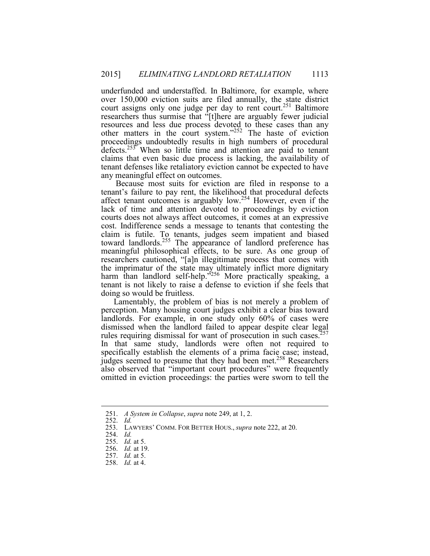court assigns only one judge per day to rent court.<sup>251</sup> Baltimore researchers thus surmise that "[t]here are arguably fewer judicial proceedings undoubtedly results in high numbers of procedural defects.<sup>253</sup> When so little time and attention are paid to tenant claims that even basic due process is lacking, the availability of tenant defenses like retaliatory eviction cannot be expected to have underfunded and understaffed. In Baltimore, for example, where over 150,000 eviction suits are filed annually, the state district resources and less due process devoted to these cases than any other matters in the court system."252 The haste of eviction any meaningful effect on outcomes.

affect tenant outcomes is arguably low.<sup>254</sup> However, even if the lack of time and attention devoted to proceedings by eviction courts does not always affect outcomes, it comes at an expressive cost. Indifference sends a message to tenants that contesting the researchers cautioned, "[a]n illegitimate process that comes with the imprimatur of the state may ultimately inflict more dignitary harm than landlord self-help.<sup>3256</sup> More practically speaking, a Because most suits for eviction are filed in response to a tenant's failure to pay rent, the likelihood that procedural defects claim is futile. To tenants, judges seem impatient and biased toward landlords.<sup>255</sup> The appearance of landlord preference has meaningful philosophical effects, to be sure. As one group of tenant is not likely to raise a defense to eviction if she feels that doing so would be fruitless.

 Lamentably, the problem of bias is not merely a problem of perception. Many housing court judges exhibit a clear bias toward landlords. For example, in one study only 60% of cases were specifically establish the elements of a prima facie case; instead, omitted in eviction proceedings: the parties were sworn to tell the dismissed when the landlord failed to appear despite clear legal rules requiring dismissal for want of prosecution in such cases.<sup>257</sup> In that same study, landlords were often not required to judges seemed to presume that they had been met.<sup>258</sup> Researchers also observed that "important court procedures" were frequently

<sup>251.</sup>  *A System in Collapse*, *supra* note 249, at 1, 2.

<sup>252.</sup>  *Id.* 

 253. LAWYERS' COMM. FOR BETTER HOUS., *supra* note 222, at 20.

<sup>254.</sup>  *Id.* 

<sup>255.</sup> *Id.* at 5.

<sup>256.</sup> *Id.* at 19.

<sup>257.</sup> *Id.* at 5.

<sup>258.</sup> *Id.* at 4.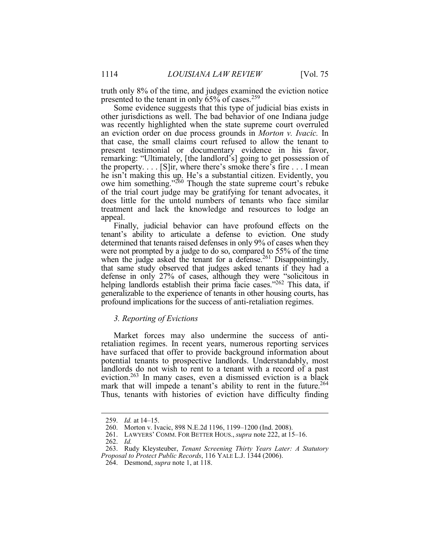truth only 8% of the time, and judges examined the eviction notice presented to the tenant in only  $65\%$  of cases.<sup>259</sup>

 was recently highlighted when the state supreme court overruled that case, the small claims court refused to allow the tenant to the property. . . . [S]ir, where there's smoke there's fire . . . I mean he isn't making this up. He's a substantial citizen. Evidently, you of the trial court judge may be gratifying for tenant advocates, it does little for the untold numbers of tenants who face similar treatment and lack the knowledge and resources to lodge an Some evidence suggests that this type of judicial bias exists in other jurisdictions as well. The bad behavior of one Indiana judge an eviction order on due process grounds in *Morton v. Ivacic.* In present testimonial or documentary evidence in his favor, remarking: "Ultimately, [the landlord's] going to get possession of owe him something."<sup>260</sup> Though the state supreme court's rebuke appeal.

 tenant's ability to articulate a defense to eviction. One study were not prompted by a judge to do so, compared to 55% of the time that same study observed that judges asked tenants if they had a defense in only 27% of cases, although they were "solicitous in helping landlords establish their prima facie cases."262 This data, if generalizable to the experience of tenants in other housing courts, has profound implications for the success of anti-retaliation regimes. Finally, judicial behavior can have profound effects on the determined that tenants raised defenses in only 9% of cases when they when the judge asked the tenant for a defense.<sup>261</sup> Disappointingly,

#### *3. Reporting of Evictions*

 landlords do not wish to rent to a tenant with a record of a past Market forces may also undermine the success of antiretaliation regimes. In recent years, numerous reporting services have surfaced that offer to provide background information about potential tenants to prospective landlords. Understandably, most eviction.263 In many cases, even a dismissed eviction is a black mark that will impede a tenant's ability to rent in the future.<sup>264</sup> Thus, tenants with histories of eviction have difficulty finding

<sup>259.</sup> *Id.* at 14–15.

<sup>260.</sup> Morton v. Ivacic, 898 N.E.2d 1196, 1199–1200 (Ind. 2008).

 261. LAWYERS' COMM. FOR BETTER HOUS., *supra* note 222, at 15–16.

<sup>262.</sup> *Id.* 

<sup>263.</sup> Rudy Kleysteuber, *Tenant Screening Thirty Years Later: A Statutory Proposal to Protect Public Records*, 116 YALE L.J. 1344 (2006).

<sup>264.</sup> Desmond, *supra* note 1, at 118.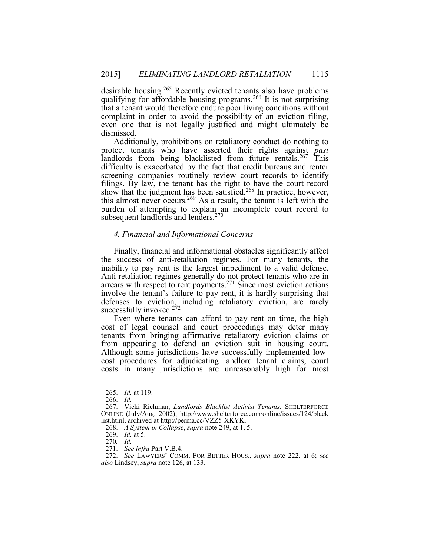desirable housing.<sup>265</sup> Recently evicted tenants also have problems qualifying for affordable housing programs.<sup>266</sup> It is not surprising complaint in order to avoid the possibility of an eviction filing, even one that is not legally justified and might ultimately be that a tenant would therefore endure poor living conditions without dismissed.

 Additionally, prohibitions on retaliatory conduct do nothing to difficulty is exacerbated by the fact that credit bureaus and renter screening companies routinely review court records to identify filings. By law, the tenant has the right to have the court record protect tenants who have asserted their rights against *past*  landlords from being blacklisted from future rentals.<sup>267</sup> This show that the judgment has been satisfied.<sup>268</sup> In practice, however, this almost never occurs.<sup>269</sup> As a result, the tenant is left with the burden of attempting to explain an incomplete court record to subsequent landlords and lenders. $270$ 

#### *4. Financial and Informational Concerns*

 Finally, financial and informational obstacles significantly affect the success of anti-retaliation regimes. For many tenants, the inability to pay rent is the largest impediment to a valid defense. Anti-retaliation regimes generally do not protect tenants who are in arrears with respect to rent payments.<sup>271</sup> Since most eviction actions defenses to eviction, including retaliatory eviction, are rarely successfully invoked. $272$ involve the tenant's failure to pay rent, it is hardly surprising that

 tenants from bringing affirmative retaliatory eviction claims or costs in many jurisdictions are unreasonably high for most Even where tenants can afford to pay rent on time, the high cost of legal counsel and court proceedings may deter many from appearing to defend an eviction suit in housing court. Although some jurisdictions have successfully implemented lowcost procedures for adjudicating landlord–tenant claims, court

<sup>265.</sup> *Id.* at 119.

<sup>266.</sup> *Id.* 

<sup>267.</sup> Vicki Richman, *Landlords Blacklist Activist Tenants*, SHELTERFORCE ONLINE (July/Aug. 2002), http://www.shelterforce.com/online/issues/124/black list.html, archived at http://perma.cc/VZZ5-XKYK.

 268. *A System in Collapse*, *supra* note 249, at 1, 5.

<sup>269.</sup> *Id.* at 5.

 270*. Id.* 

<sup>271.</sup> *See infra* Part V.B.4.

 272. *See* LAWYERS' COMM. FOR BETTER HOUS., *supra* note 222, at 6; *see also* Lindsey, *supra* note 126, at 133.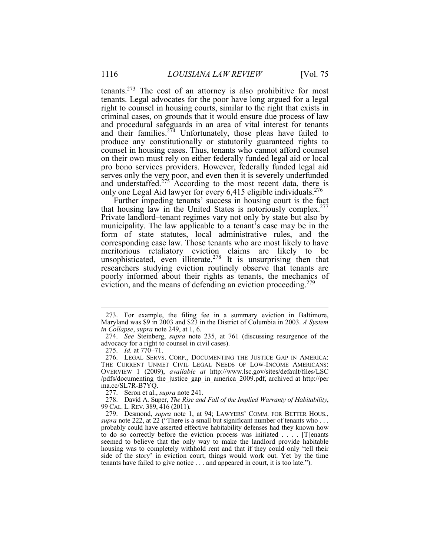tenants.<sup>273</sup> The cost of an attorney is also prohibitive for most tenants. Legal advocates for the poor have long argued for a legal right to counsel in housing courts, similar to the right that exists in criminal cases, on grounds that it would ensure due process of law and procedural safeguards in an area of vital interest for tenants produce any constitutionally or statutorily guaranteed rights to on their own must rely on either federally funded legal aid or local Ĩ only one Legal Aid lawyer for every 6,415 eligible individuals.<sup>276</sup> and their families.<sup>274</sup> Unfortunately, those pleas have failed to counsel in housing cases. Thus, tenants who cannot afford counsel pro bono services providers. However, federally funded legal aid serves only the very poor, and even then it is severely underfunded and understaffed.<sup>275</sup> According to the most recent data, there is

that housing law in the United States is notoriously complex.<sup>277</sup> Private landlord–tenant regimes vary not only by state but also by municipality. The law applicable to a tenant's case may be in the form of state statutes, local administrative rules, and the researchers studying eviction routinely observe that tenants are Further impeding tenants' success in housing court is the fact corresponding case law. Those tenants who are most likely to have meritorious retaliatory eviction claims are likely to be unsophisticated, even illiterate.<sup>278</sup> It is unsurprising then that poorly informed about their rights as tenants, the mechanics of eviction, and the means of defending an eviction proceeding.<sup>279</sup>

 Maryland was \$9 in 2003 and \$23 in the District of Columbia in 2003. *A System*  273. For example, the filing fee in a summary eviction in Baltimore, *in Collapse*, *supra* note 249, at 1, 6.

 274. *See* Steinberg, *supra* note 235, at 761 (discussing resurgence of the advocacy for a right to counsel in civil cases).

<sup>275.</sup> *Id.* at 770–71.

 276. LEGAL SERVS. CORP., DOCUMENTING THE JUSTICE GAP IN AMERICA: OVERVIEW 1 (2009), *available at* http://www.lsc.gov/sites/default/files/LSC /pdfs/documenting\_the\_justice\_gap\_in\_america\_2009.pdf, archived at http://per THE CURRENT UNMET CIVIL LEGAL NEEDS OF LOW-INCOME AMERICANS: ma.cc/SL7R-B7YQ.

<sup>277.</sup> Seron et al., *supra* note 241.

 99 CAL. L. REV. 389, 416 (2011). 278. David A. Super, *The Rise and Fall of the Implied Warranty of Habitability*,

*supra* note 222, at 22 ("There is a small but significant number of tenants who ... probably could have asserted effective habitability defenses had they known how to do so correctly before the eviction process was initiated . . . . [T]enants seemed to believe that the only way to make the landlord provide habitable housing was to completely withhold rent and that if they could only 'tell their side of the story' in eviction court, things would work out. Yet by the time 279. Desmond, *supra* note 1, at 94; LAWYERS' COMM. FOR BETTER HOUS., tenants have failed to give notice . . . and appeared in court, it is too late.").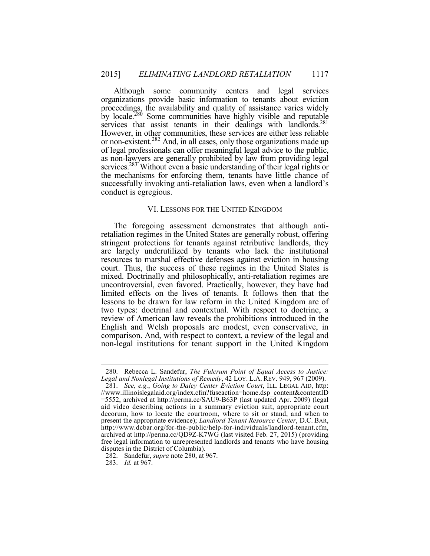proceedings, the availability and quality of assistance varies widely by locale.<sup>280</sup> Some communities have highly visible and reputable However, in other communities, these services are either less reliable or non-existent.<sup>282</sup> And, in all cases, only those organizations made up of legal professionals can offer meaningful legal advice to the public, as non-lawyers are generally prohibited by law from providing legal services.<sup>283</sup> Without even a basic understanding of their legal rights or the mechanisms for enforcing them, tenants have little chance of Although some community centers and legal services organizations provide basic information to tenants about eviction services that assist tenants in their dealings with landlords.<sup>281</sup> successfully invoking anti-retaliation laws, even when a landlord's conduct is egregious.

#### VI. LESSONS FOR THE UNITED KINGDOM

 retaliation regimes in the United States are generally robust, offering uncontroversial, even favored. Practically, however, they have had lessons to be drawn for law reform in the United Kingdom are of The foregoing assessment demonstrates that although antistringent protections for tenants against retributive landlords, they are largely underutilized by tenants who lack the institutional resources to marshal effective defenses against eviction in housing court. Thus, the success of these regimes in the United States is mixed. Doctrinally and philosophically, anti-retaliation regimes are limited effects on the lives of tenants. It follows then that the two types: doctrinal and contextual. With respect to doctrine, a review of American law reveals the prohibitions introduced in the English and Welsh proposals are modest, even conservative, in comparison. And, with respect to context, a review of the legal and non-legal institutions for tenant support in the United Kingdom

283. *Id.* at 967.

 *Legal and Nonlegal Institutions of Remedy*, 42 LOY. L.A. REV. 949, 967 (2009). 280. Rebecca L. Sandefur, *The Fulcrum Point of Equal Access to Justice:* 

 aid video describing actions in a summary eviction suit, appropriate court present the appropriate evidence); *Landlord Tenant Resource Center*, D.C. BAR, archived at http://perma.cc/QD9Z-K7WG (last visited Feb. 27, 2015) (providing disputes in the District of Columbia). 281. *See, e.g.*, *Going to Daley Center Eviction Court*, ILL. LEGAL AID, http: //www.illinoislegalaid.org/index.cfm?fuseaction=home.dsp\_content&contentID =5552, archived at http://perma.cc/SAU9-B63P (last updated Apr. 2009) (legal decorum, how to locate the courtroom, where to sit or stand, and when to http://www.dcbar.org/for-the-public/help-for-individuals/landlord-tenant.cfm, free legal information to unrepresented landlords and tenants who have housing

<sup>282.</sup> Sandefur, *supra* note 280, at 967.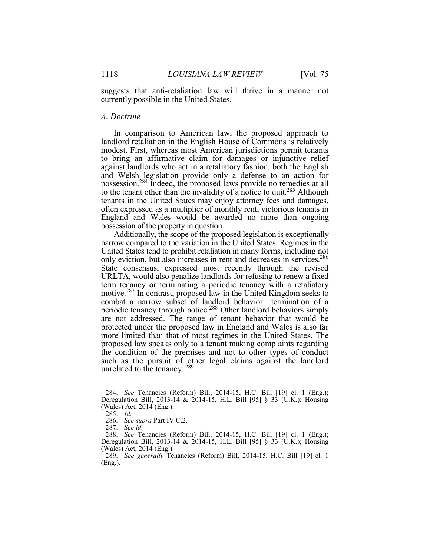suggests that anti-retaliation law will thrive in a manner not currently possible in the United States.

#### *A. Doctrine*

 to bring an affirmative claim for damages or injunctive relief against landlords who act in a retaliatory fashion, both the English to the tenant other than the invalidity of a notice to quit.<sup>285</sup> Although tenants in the United States may enjoy attorney fees and damages, often expressed as a multiplier of monthly rent, victorious tenants in possession of the property in question. In comparison to American law, the proposed approach to landlord retaliation in the English House of Commons is relatively modest. First, whereas most American jurisdictions permit tenants and Welsh legislation provide only a defense to an action for possession.284 Indeed, the proposed laws provide no remedies at all England and Wales would be awarded no more than ongoing

 United States tend to prohibit retaliation in many forms, including not only eviction, but also increases in rent and decreases in services.<sup>286</sup> URLTA, would also penalize landlords for refusing to renew a fixed term tenancy or terminating a periodic tenancy with a retaliatory combat a narrow subset of landlord behavior—termination of a are not addressed. The range of tenant behavior that would be more limited than that of most regimes in the United States. The Additionally, the scope of the proposed legislation is exceptionally narrow compared to the variation in the United States. Regimes in the State consensus, expressed most recently through the revised motive.287 In contrast, proposed law in the United Kingdom seeks to periodic tenancy through notice.288 Other landlord behaviors simply protected under the proposed law in England and Wales is also far proposed law speaks only to a tenant making complaints regarding the condition of the premises and not to other types of conduct such as the pursuit of other legal claims against the landlord unrelated to the tenancy. <sup>289</sup>

<sup>284.</sup> *See* Tenancies (Reform) Bill, 2014-15, H.C. Bill [19] cl. 1 (Eng.); Deregulation Bill, 2013-14 & 2014-15, H.L. Bill [95] § 33 (U.K.); Housing (Wales) Act, 2014 (Eng.).

 $285.$  Id.

<sup>285.</sup> *Id.* 286. *See supra* Part IV.C.2.

<sup>287.</sup> *See id.* 

 288. *See* Tenancies (Reform) Bill, 2014-15, H.C. Bill [19] cl. 1 (Eng.); Deregulation Bill, 2013-14 & 2014-15, H.L. Bill [95] § 33 (U.K.); Housing (Wales) Act, 2014 (Eng.).

 289. *See generally* Tenancies (Reform) Bill, 2014-15, H.C. Bill [19] cl. 1 (Eng.).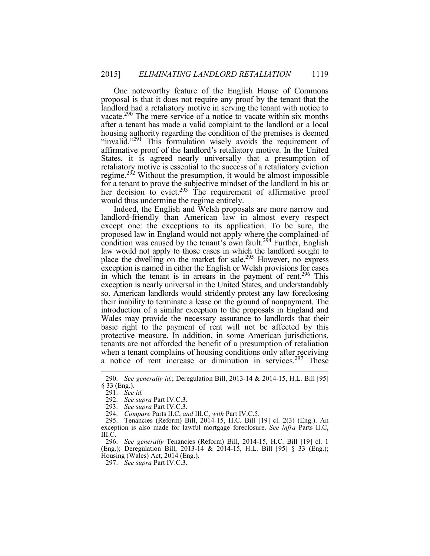One noteworthy feature of the English House of Commons proposal is that it does not require any proof by the tenant that the landlord had a retaliatory motive in serving the tenant with notice to housing authority regarding the condition of the premises is deemed "invalid."<sup>291</sup> This formulation wisely avoids the requirement of States, it is agreed nearly universally that a presumption of retaliatory motive is essential to the success of a retaliatory eviction vacate.<sup>290</sup> The mere service of a notice to vacate within six months after a tenant has made a valid complaint to the landlord or a local affirmative proof of the landlord's retaliatory motive. In the United regime.<sup>292</sup> Without the presumption, it would be almost impossible for a tenant to prove the subjective mindset of the landlord in his or her decision to evict.<sup>293</sup> The requirement of affirmative proof would thus undermine the regime entirely.

 landlord-friendly than American law in almost every respect law would not apply to those cases in which the landlord sought to place the dwelling on the market for sale.<sup>295</sup> However, no express exception is named in either the English or Welsh provisions for cases so. American landlords would stridently protest any law foreclosing their inability to terminate a lease on the ground of nonpayment. The introduction of a similar exception to the proposals in England and Wales may provide the necessary assurance to landlords that their protective measure. In addition, in some American jurisdictions, tenants are not afforded the benefit of <sup>a</sup> presumption of retaliation a notice of rent increase or diminution in services.<sup>297</sup> These Indeed, the English and Welsh proposals are more narrow and except one: the exceptions to its application. To be sure, the proposed law in England would not apply where the complained-of condition was caused by the tenant's own fault.<sup>294</sup> Further, English in which the tenant is in arrears in the payment of rent.<sup>296</sup> This exception is nearly universal in the United States, and understandably basic right to the payment of rent will not be affected by this when a tenant complains of housing conditions only after receiving

<sup>290.</sup> *See generally id.*; Deregulation Bill, 2013-14 & 2014-15, H.L. Bill [95] § 33 (Eng.).

<sup>291.</sup> *See id.* 

<sup>292.</sup> *See supra* Part IV.C.3.

 293. *See supra* Part IV.C.3.

<sup>294.</sup> *Compare* Parts II.C, *and* III.C, *with* Part IV.C.5.

 295. Tenancies (Reform) Bill, 2014-15, H.C. Bill [19] cl. 2(3) (Eng.). An exception is also made for lawful mortgage foreclosure. *See infra* Parts II.C, III.C.

 296. *See generally* Tenancies (Reform) Bill, 2014-15, H.C. Bill [19] cl. 1 (Eng.); Deregulation Bill, 2013-14 & 2014-15, H.L. Bill [95] § 33 (Eng.); Housing (Wales) Act, 2014 (Eng.).

<sup>297.</sup> *See supra* Part IV.C.3.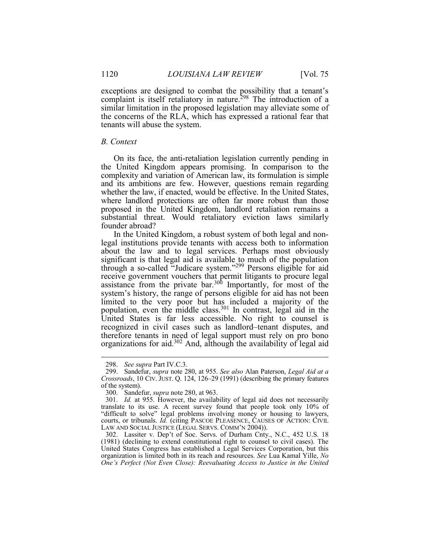exceptions are designed to combat the possibility that a tenant's complaint is itself retaliatory in nature.<sup>298</sup> The introduction of a similar limitation in the proposed legislation may alleviate some of tenants will abuse the system. the concerns of the RLA, which has expressed a rational fear that

#### *B. Context*

 On its face, the anti-retaliation legislation currently pending in the United Kingdom appears promising. In comparison to the proposed in the United Kingdom, landlord retaliation remains a complexity and variation of American law, its formulation is simple and its ambitions are few. However, questions remain regarding whether the law, if enacted, would be effective. In the United States, where landlord protections are often far more robust than those substantial threat. Would retaliatory eviction laws similarly founder abroad?

 system's history, the range of persons eligible for aid has not been limited to the very poor but has included a majority of the recognized in civil cases such as landlord–tenant disputes, and In the United Kingdom, a robust system of both legal and non- legal institutions provide tenants with access both to information about the law and to legal services. Perhaps most obviously significant is that legal aid is available to much of the population through a so-called "Judicare system."<sup>299</sup> Persons eligible for aid receive government vouchers that permit litigants to procure legal assistance from the private bar.<sup>300</sup> Importantly, for most of the population, even the middle class.<sup>301</sup> In contrast, legal aid in the United States is far less accessible. No right to counsel is therefore tenants in need of legal support must rely on pro bono organizations for aid.<sup>302</sup> And, although the availability of legal aid

 $\overline{a}$ 

 302. Lassiter v. Dep't of Soc. Servs. of Durham Cnty., N.C., 452 U.S. 18 (1981) (declining to extend constitutional right to counsel to civil cases). The United States Congress has established a Legal Services Corporation, but this organization is limited both in its reach and resources. *See* Lua Kamal Yille, *No One's Perfect (Not Even Close): Reevaluating Access to Justice in the United in the United in the United in the United in the United in the United in the United in the United in the United in the United in the United in* 

<sup>298.</sup> *See supra* Part IV.C.3.

 of the system). 299. Sandefur, *supra* note 280, at 955. *See also* Alan Paterson, *Legal Aid at a Crossroads*, 10 CIV. JUST. Q. 124, 126–29 (1991) (describing the primary features

<sup>300.</sup> Sandefur, *supra* note 280, at 963.

 translate to its use. A recent survey found that people took only 10% of "difficult to solve" legal problems involving money or housing to lawyers, courts, or tribunals. *Id.* (citing PASCOE PLEASENCE, CAUSES OF ACTION: CIVIL 301. *Id.* at 955. However, the availability of legal aid does not necessarily LAW AND SOCIAL JUSTICE (LEGAL SERVS. COMM'N 2004)).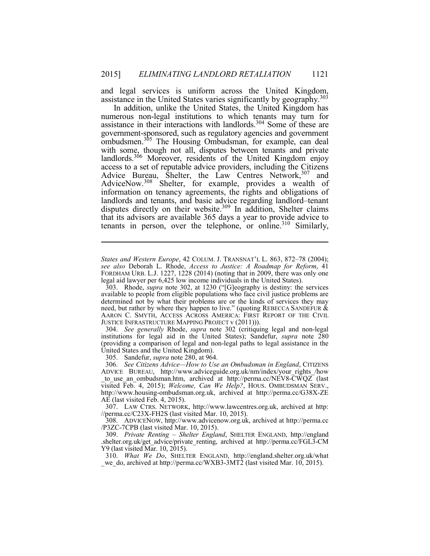assistance in the United States varies significantly by geography.<sup>303</sup> and legal services is uniform across the United Kingdom,

 numerous non-legal institutions to which tenants may turn for ombudsmen.<sup>305</sup> The Housing Ombudsman, for example, can deal landlords.<sup>306</sup> Moreover, residents of the United Kingdom enjoy access to a set of reputable advice providers, including the Citizens that its advisors are available 365 days a year to provide advice to tenants in person, over the telephone, or online.<sup>310</sup> Similarly, In addition, unlike the United States, the United Kingdom has assistance in their interactions with landlords.304 Some of these are government-sponsored, such as regulatory agencies and government with some, though not all, disputes between tenants and private Advice Bureau, Shelter, the Law Centres Network,  $307$  and AdviceNow.<sup>308</sup> Shelter, for example, provides a wealth of information on tenancy agreements, the rights and obligations of landlords and tenants, and basic advice regarding landlord–tenant disputes directly on their website. $309$  In addition, Shelter claims

 *States and Western Europe*, 42 COLUM. J. TRANSNAT'L L. 863, 872–78 (2004); FORDHAM URB. L.J. 1227, 1228 (2014) (noting that in 2009, there was only one *see also* Deborah L. Rhode, *Access to Justice: A Roadmap for Reform*, 41 legal aid lawyer per 6,425 low income individuals in the United States).

 303. Rhode, *supra* note 302, at 1230 ("[G]eography is destiny: the services determined not by what their problems are or the kinds of services they may need, but rather by where they happen to live." (quoting REBECCA SANDEFUR  $\&$  AARON C. SMYTH, ACCESS ACROSS AMERICA: FIRST REPORT OF THE CIVIL JUSTICE INFRASTRUCTURE MAPPING PROJECT v (2011))). available to people from eligible populations who face civil justice problems are

 (providing a comparison of legal and non-legal paths to legal assistance in the 304. *See generally* Rhode, *supra* note 302 (critiquing legal and non-legal institutions for legal aid in the United States); Sandefur, *supra* note 280 United States and the United Kingdom).

305. Sandefur, *supra* note 280, at 964.

1

to use an ombudsman.htm, archived at http://perma.cc/NEV8- $\overline{CWQZ}$  (last 306. *See Citizens Advice—How to Use an Ombudsman in England*, CITIZENS ADVICE BUREAU, http://www.adviceguide.org.uk/nm/index/your\_rights\_/how visited Feb. 4, 2015); *Welcome, Can We Help?*, HOUS. OMBUDSMAN SERV., http://www.housing-ombudsman.org.uk, archived at http://perma.cc/G38X-ZE AE (last visited Feb. 4, 2015).

 307. LAW CTRS. NETWORK, http://www.lawcentres.org.uk, archived at http: //perma.cc/C23X-FH2S (last visited Mar. 10, 2015).

308. ADVICENOW, http://www.advicenow.org.uk, archived at http://perma.cc /P3ZC-7CPB (last visited Mar. 10, 2015).

 .shelter.org.uk/get\_advice/private\_renting, archived at http://perma.cc/FGL3-CM 309. *Private Renting – Shelter England*, SHELTER ENGLAND, http://england Y9 (last visited Mar. 10, 2015).

 \_we\_do, archived at http://perma.cc/WXB3-3MT2 (last visited Mar. 10, 2015). 310. *What We Do*, SHELTER ENGLAND, http://england.shelter.org.uk/what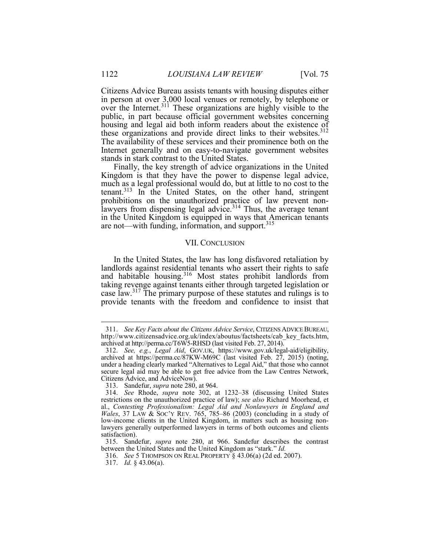i. public, in part because official government websites concerning The availability of these services and their prominence both on the Internet generally and on easy-to-navigate government websites stands in stark contrast to the United States. Citizens Advice Bureau assists tenants with housing disputes either in person at over 3,000 local venues or remotely, by telephone or over the Internet.<sup>311</sup> These organizations are highly visible to the housing and legal aid both inform readers about the existence of these organizations and provide direct links to their websites.<sup>312</sup>

 Finally, the key strength of advice organizations in the United much as a legal professional would do, but at little to no cost to the are not—with funding, information, and support.<sup>315</sup> Kingdom is that they have the power to dispense legal advice, tenant.<sup>313</sup> In the United States, on the other hand, stringent prohibitions on the unauthorized practice of law prevent nonlawyers from dispensing legal advice.<sup>314</sup> Thus, the average tenant in the United Kingdom is equipped in ways that American tenants

#### VII. CONCLUSION

 In the United States, the law has long disfavored retaliation by taking revenge against tenants either through targeted legislation or landlords against residential tenants who assert their rights to safe and habitable housing.<sup>316</sup> Most states prohibit landlords from case law.<sup>317</sup> The primary purpose of these statutes and rulings is to provide tenants with the freedom and confidence to insist that

<sup>311.</sup> *See Key Facts about the Citizens Advice Service*, CITIZENS ADVICEBUREAU, http://www.citizensadvice.org.uk/index/aboutus/factsheets/cab\_key\_facts.htm, archived at http://perma.cc/T6W5-RHSD (last visited Feb. 27, 2014).

 secure legal aid may be able to get free advice from the Law Centres Network, 312. *See, e.g.*, *Legal Aid*, GOV.UK, https://www.gov.uk/legal-aid/eligibility, archived at https://perma.cc/87KW-M69C (last visited Feb. 27, 2015) (noting, under a heading clearly marked "Alternatives to Legal Aid," that those who cannot Citizens Advice, and AdviceNow).

i<br>. 313. Sandefur, *supra* note 280, at 964.

 *Wales*, 37 LAW & SOC'Y REV. 765, 785–86 (2003) (concluding in a study of low-income clients in the United Kingdom, in matters such as housing non- lawyers generally outperformed lawyers in terms of both outcomes and clients 314. *See* Rhode, *supra* note 302, at 1232–38 (discussing United States restrictions on the unauthorized practice of law); *see also* Richard Moorhead, et al., *Contesting Professionalism: Legal Aid and Nonlawyers in England and* satisfaction).

 315. Sandefur, *supra* note 280, at 966. Sandefur describes the contrast between the United States and the United Kingdom as "stark." *Id.* 

<sup>316.</sup> *See* 5 THOMPSON ON REAL PROPERTY § 43.06(a) (2d ed. 2007).

<sup>317.</sup> *Id.* § 43.06(a).